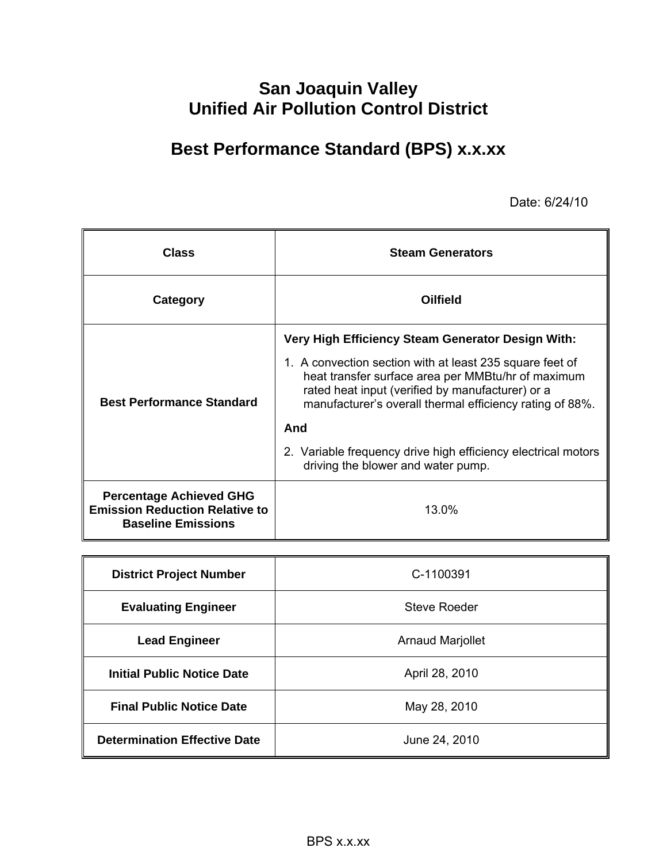# **San Joaquin Valley Unified Air Pollution Control District**

# **Best Performance Standard (BPS) x.x.xx**

Date: 6/24/10

| <b>Class</b>                                                                                         | <b>Steam Generators</b>                                                                                                                                                                                                        |  |  |  |  |  |  |  |  |
|------------------------------------------------------------------------------------------------------|--------------------------------------------------------------------------------------------------------------------------------------------------------------------------------------------------------------------------------|--|--|--|--|--|--|--|--|
| Category                                                                                             | <b>Oilfield</b>                                                                                                                                                                                                                |  |  |  |  |  |  |  |  |
|                                                                                                      | Very High Efficiency Steam Generator Design With:                                                                                                                                                                              |  |  |  |  |  |  |  |  |
| <b>Best Performance Standard</b>                                                                     | 1. A convection section with at least 235 square feet of<br>heat transfer surface area per MMBtu/hr of maximum<br>rated heat input (verified by manufacturer) or a<br>manufacturer's overall thermal efficiency rating of 88%. |  |  |  |  |  |  |  |  |
|                                                                                                      | And                                                                                                                                                                                                                            |  |  |  |  |  |  |  |  |
|                                                                                                      | 2. Variable frequency drive high efficiency electrical motors<br>driving the blower and water pump.                                                                                                                            |  |  |  |  |  |  |  |  |
| <b>Percentage Achieved GHG</b><br><b>Emission Reduction Relative to</b><br><b>Baseline Emissions</b> | 13.0%                                                                                                                                                                                                                          |  |  |  |  |  |  |  |  |

| <b>District Project Number</b>      | C-1100391               |
|-------------------------------------|-------------------------|
| <b>Evaluating Engineer</b>          | <b>Steve Roeder</b>     |
| <b>Lead Engineer</b>                | <b>Arnaud Marjollet</b> |
| <b>Initial Public Notice Date</b>   | April 28, 2010          |
| <b>Final Public Notice Date</b>     | May 28, 2010            |
| <b>Determination Effective Date</b> | June 24, 2010           |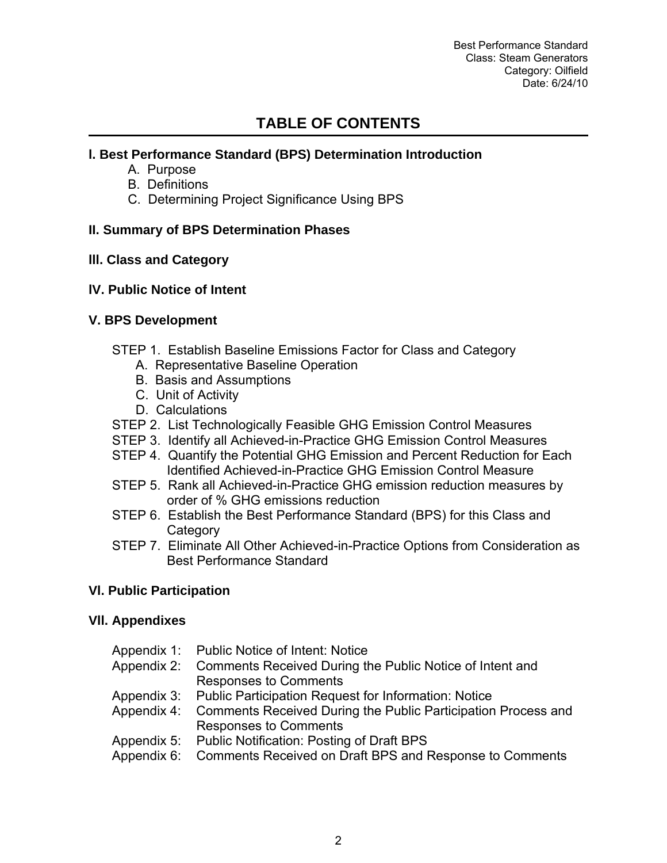Best Performance Standard Class: Steam Generators Category: Oilfield Date: 6/24/10

# **TABLE OF CONTENTS**

# **l. Best Performance Standard (BPS) Determination Introduction**

- A. Purpose
- B. Definitions
- C. Determining Project Significance Using BPS

#### **II. Summary of BPS Determination Phases**

#### **lll. Class and Category**

#### **lV. Public Notice of Intent**

#### **V. BPS Development**

- STEP 1. Establish Baseline Emissions Factor for Class and Category
	- A. Representative Baseline Operation
	- B. Basis and Assumptions
	- C. Unit of Activity
	- D. Calculations
- STEP 2. List Technologically Feasible GHG Emission Control Measures
- STEP 3. Identify all Achieved-in-Practice GHG Emission Control Measures
- STEP 4. Quantify the Potential GHG Emission and Percent Reduction for Each Identified Achieved-in-Practice GHG Emission Control Measure
- STEP 5. Rank all Achieved-in-Practice GHG emission reduction measures by order of % GHG emissions reduction
- STEP 6. Establish the Best Performance Standard (BPS) for this Class and **Category**
- STEP 7. Eliminate All Other Achieved-in-Practice Options from Consideration as Best Performance Standard

# **Vl. Public Participation**

#### **Vll. Appendixes**

| Appendix 1: Public Notice of Intent: Notice                               |
|---------------------------------------------------------------------------|
| Appendix 2: Comments Received During the Public Notice of Intent and      |
| <b>Responses to Comments</b>                                              |
| Appendix 3: Public Participation Request for Information: Notice          |
| Appendix 4: Comments Received During the Public Participation Process and |
| <b>Responses to Comments</b>                                              |
| Appendix 5: Public Notification: Posting of Draft BPS                     |
| Appendix 6: Comments Received on Draft BPS and Response to Comments       |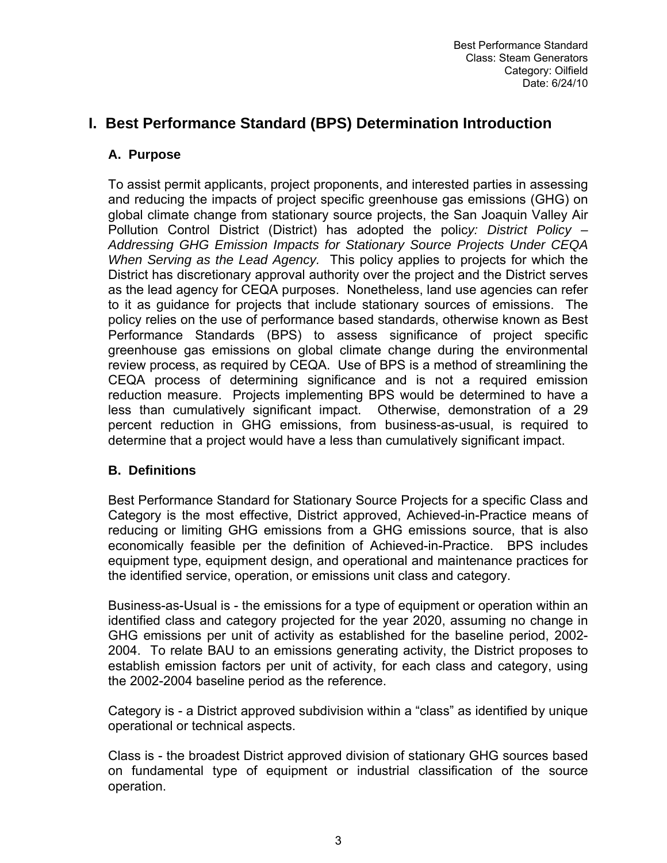# **I. Best Performance Standard (BPS) Determination Introduction**

# **A. Purpose**

To assist permit applicants, project proponents, and interested parties in assessing and reducing the impacts of project specific greenhouse gas emissions (GHG) on global climate change from stationary source projects, the San Joaquin Valley Air Pollution Control District (District) has adopted the polic*y: District Policy – Addressing GHG Emission Impacts for Stationary Source Projects Under CEQA When Serving as the Lead Agency.* This policy applies to projects for which the District has discretionary approval authority over the project and the District serves as the lead agency for CEQA purposes. Nonetheless, land use agencies can refer to it as guidance for projects that include stationary sources of emissions. The policy relies on the use of performance based standards, otherwise known as Best Performance Standards (BPS) to assess significance of project specific greenhouse gas emissions on global climate change during the environmental review process, as required by CEQA. Use of BPS is a method of streamlining the CEQA process of determining significance and is not a required emission reduction measure. Projects implementing BPS would be determined to have a less than cumulatively significant impact. Otherwise, demonstration of a 29 percent reduction in GHG emissions, from business-as-usual, is required to determine that a project would have a less than cumulatively significant impact.

# **B. Definitions**

Best Performance Standard for Stationary Source Projects for a specific Class and Category is the most effective, District approved, Achieved-in-Practice means of reducing or limiting GHG emissions from a GHG emissions source, that is also economically feasible per the definition of Achieved-in-Practice. BPS includes equipment type, equipment design, and operational and maintenance practices for the identified service, operation, or emissions unit class and category.

Business-as-Usual is - the emissions for a type of equipment or operation within an identified class and category projected for the year 2020, assuming no change in GHG emissions per unit of activity as established for the baseline period, 2002- 2004. To relate BAU to an emissions generating activity, the District proposes to establish emission factors per unit of activity, for each class and category, using the 2002-2004 baseline period as the reference.

Category is - a District approved subdivision within a "class" as identified by unique operational or technical aspects.

Class is - the broadest District approved division of stationary GHG sources based on fundamental type of equipment or industrial classification of the source operation.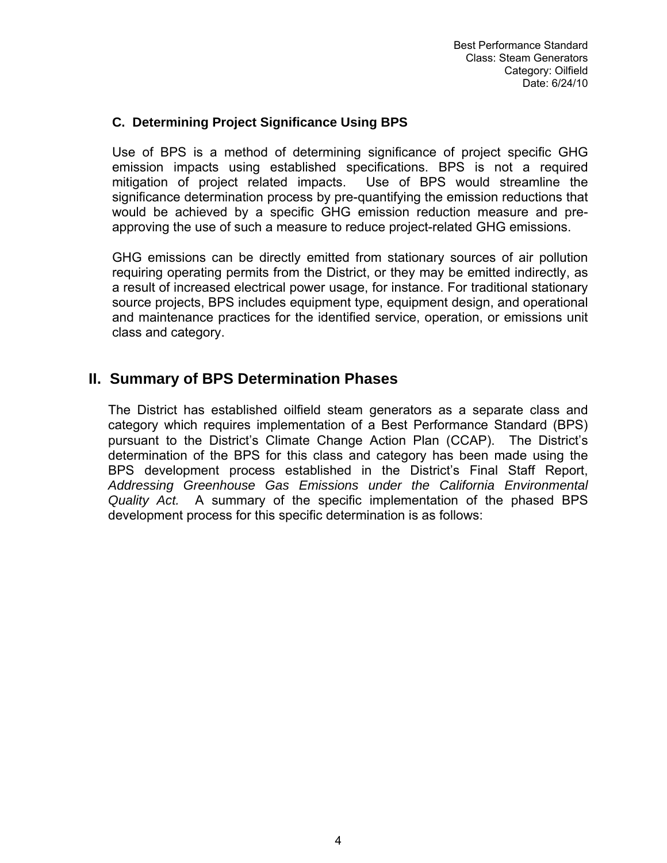#### **C. Determining Project Significance Using BPS**

Use of BPS is a method of determining significance of project specific GHG emission impacts using established specifications. BPS is not a required mitigation of project related impacts. Use of BPS would streamline the significance determination process by pre-quantifying the emission reductions that would be achieved by a specific GHG emission reduction measure and preapproving the use of such a measure to reduce project-related GHG emissions.

GHG emissions can be directly emitted from stationary sources of air pollution requiring operating permits from the District, or they may be emitted indirectly, as a result of increased electrical power usage, for instance. For traditional stationary source projects, BPS includes equipment type, equipment design, and operational and maintenance practices for the identified service, operation, or emissions unit class and category.

# **II. Summary of BPS Determination Phases**

The District has established oilfield steam generators as a separate class and category which requires implementation of a Best Performance Standard (BPS) pursuant to the District's Climate Change Action Plan (CCAP). The District's determination of the BPS for this class and category has been made using the BPS development process established in the District's Final Staff Report, *Addressing Greenhouse Gas Emissions under the California Environmental Quality Act.* A summary of the specific implementation of the phased BPS development process for this specific determination is as follows: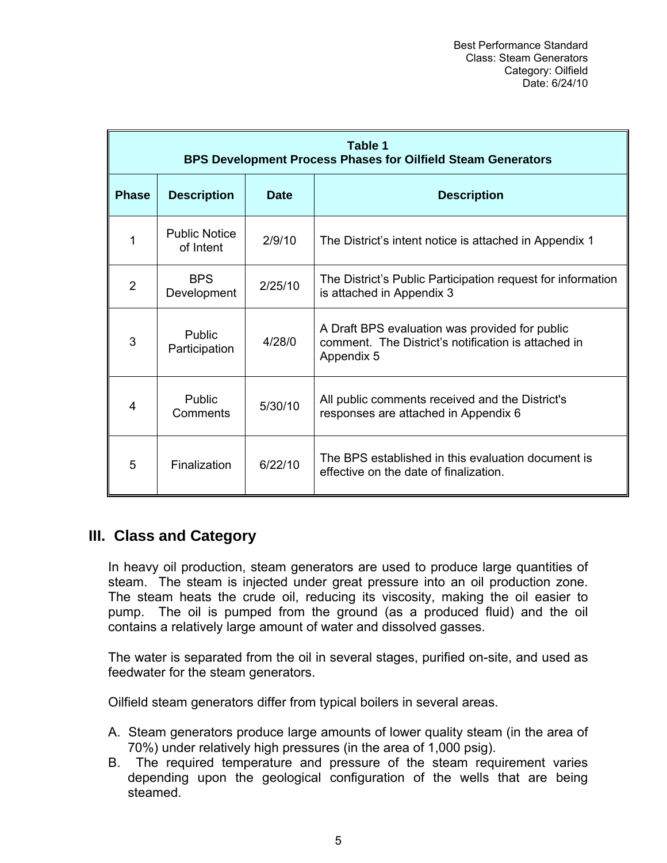|              | Table 1<br><b>BPS Development Process Phases for Oilfield Steam Generators</b> |             |                                                                                                                     |  |  |  |  |  |  |  |  |  |  |  |
|--------------|--------------------------------------------------------------------------------|-------------|---------------------------------------------------------------------------------------------------------------------|--|--|--|--|--|--|--|--|--|--|--|
| <b>Phase</b> | <b>Description</b>                                                             | <b>Date</b> | <b>Description</b>                                                                                                  |  |  |  |  |  |  |  |  |  |  |  |
|              | <b>Public Notice</b><br>of Intent                                              | 2/9/10      | The District's intent notice is attached in Appendix 1                                                              |  |  |  |  |  |  |  |  |  |  |  |
| 2            | <b>BPS</b><br>Development                                                      | 2/25/10     | The District's Public Participation request for information<br>is attached in Appendix 3                            |  |  |  |  |  |  |  |  |  |  |  |
| 3            | <b>Public</b><br>Participation                                                 | 4/28/0      | A Draft BPS evaluation was provided for public<br>comment. The District's notification is attached in<br>Appendix 5 |  |  |  |  |  |  |  |  |  |  |  |
| 4            | <b>Public</b><br>Comments                                                      | 5/30/10     | All public comments received and the District's<br>responses are attached in Appendix 6                             |  |  |  |  |  |  |  |  |  |  |  |
| 5            | Finalization                                                                   | 6/22/10     | The BPS established in this evaluation document is<br>effective on the date of finalization.                        |  |  |  |  |  |  |  |  |  |  |  |

# **III. Class and Category**

In heavy oil production, steam generators are used to produce large quantities of steam. The steam is injected under great pressure into an oil production zone. The steam heats the crude oil, reducing its viscosity, making the oil easier to pump. The oil is pumped from the ground (as a produced fluid) and the oil contains a relatively large amount of water and dissolved gasses.

The water is separated from the oil in several stages, purified on-site, and used as feedwater for the steam generators.

Oilfield steam generators differ from typical boilers in several areas.

- A. Steam generators produce large amounts of lower quality steam (in the area of 70%) under relatively high pressures (in the area of 1,000 psig).
- B. The required temperature and pressure of the steam requirement varies depending upon the geological configuration of the wells that are being steamed.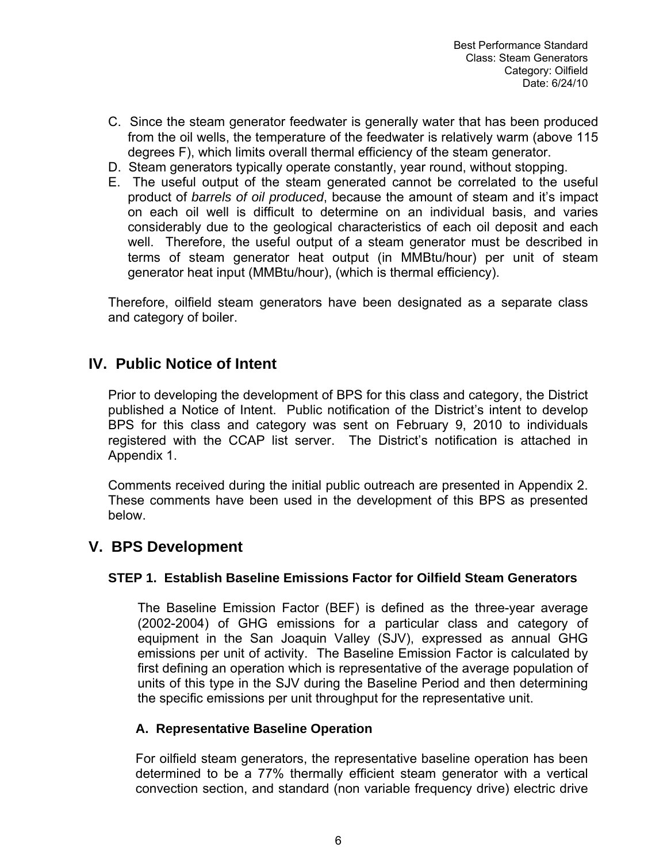- C. Since the steam generator feedwater is generally water that has been produced from the oil wells, the temperature of the feedwater is relatively warm (above 115 degrees F), which limits overall thermal efficiency of the steam generator.
- D. Steam generators typically operate constantly, year round, without stopping.
- E. The useful output of the steam generated cannot be correlated to the useful product of *barrels of oil produced*, because the amount of steam and it's impact on each oil well is difficult to determine on an individual basis, and varies considerably due to the geological characteristics of each oil deposit and each well. Therefore, the useful output of a steam generator must be described in terms of steam generator heat output (in MMBtu/hour) per unit of steam generator heat input (MMBtu/hour), (which is thermal efficiency).

Therefore, oilfield steam generators have been designated as a separate class and category of boiler.

# **IV. Public Notice of Intent**

Prior to developing the development of BPS for this class and category, the District published a Notice of Intent. Public notification of the District's intent to develop BPS for this class and category was sent on February 9, 2010 to individuals registered with the CCAP list server. The District's notification is attached in Appendix 1.

Comments received during the initial public outreach are presented in Appendix 2. These comments have been used in the development of this BPS as presented below.

# **V. BPS Development**

#### **STEP 1. Establish Baseline Emissions Factor for Oilfield Steam Generators**

The Baseline Emission Factor (BEF) is defined as the three-year average (2002-2004) of GHG emissions for a particular class and category of equipment in the San Joaquin Valley (SJV), expressed as annual GHG emissions per unit of activity. The Baseline Emission Factor is calculated by first defining an operation which is representative of the average population of units of this type in the SJV during the Baseline Period and then determining the specific emissions per unit throughput for the representative unit.

#### **A. Representative Baseline Operation**

For oilfield steam generators, the representative baseline operation has been determined to be a 77% thermally efficient steam generator with a vertical convection section, and standard (non variable frequency drive) electric drive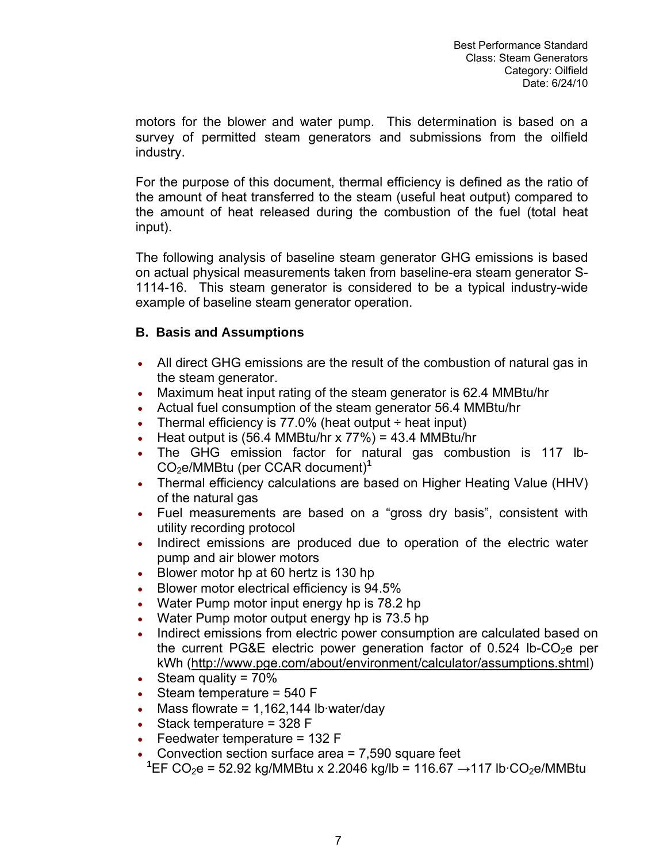motors for the blower and water pump. This determination is based on a survey of permitted steam generators and submissions from the oilfield industry.

For the purpose of this document, thermal efficiency is defined as the ratio of the amount of heat transferred to the steam (useful heat output) compared to the amount of heat released during the combustion of the fuel (total heat input).

The following analysis of baseline steam generator GHG emissions is based on actual physical measurements taken from baseline-era steam generator S-1114-16. This steam generator is considered to be a typical industry-wide example of baseline steam generator operation.

# **B. Basis and Assumptions**

- All direct GHG emissions are the result of the combustion of natural gas in the steam generator.
- Maximum heat input rating of the steam generator is 62.4 MMBtu/hr
- Actual fuel consumption of the steam generator 56.4 MMBtu/hr
- Thermal efficiency is  $77.0\%$  (heat output  $\div$  heat input)
- Heat output is  $(56.4 \text{ MMB} \text{tu/hr} \times 77\%) = 43.4 \text{ MMB} \text{tu/hr}$
- The GHG emission factor for natural gas combustion is 117 lb-CO2e/MMBtu (per CCAR document)**<sup>1</sup>**
- Thermal efficiency calculations are based on Higher Heating Value (HHV) of the natural gas
- Fuel measurements are based on a "gross dry basis", consistent with utility recording protocol
- Indirect emissions are produced due to operation of the electric water pump and air blower motors
- Blower motor hp at 60 hertz is 130 hp
- Blower motor electrical efficiency is 94.5%
- Water Pump motor input energy hp is 78.2 hp
- Water Pump motor output energy hp is 73.5 hp
- Indirect emissions from electric power consumption are calculated based on the current PG&E electric power generation factor of  $0.524$  lb-CO<sub>2</sub>e per kWh (<http://www.pge.com/about/environment/calculator/assumptions.shtml>)
- Steam quality = 70%
- Steam temperature  $= 540 F$
- Mass flowrate =  $1,162,144$  lb water/day
- Stack temperature = 328 F
- Feedwater temperature =  $132 F$
- Convection section surface area  $= 7,590$  square feet
- $1$  EF CO<sub>2</sub>e = 52.92 kg/MMBtu x 2.2046 kg/lb = 116.67 → 117 lb·CO<sub>2</sub>e/MMBtu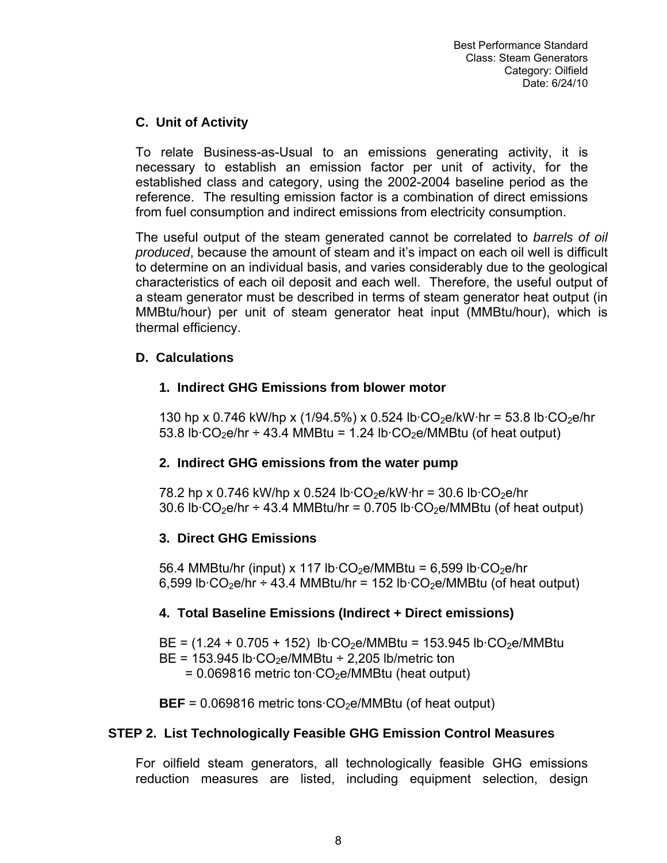# **C. Unit of Activity**

To relate Business-as-Usual to an emissions generating activity, it is necessary to establish an emission factor per unit of activity, for the established class and category, using the 2002-2004 baseline period as the reference. The resulting emission factor is a combination of direct emissions from fuel consumption and indirect emissions from electricity consumption.

The useful output of the steam generated cannot be correlated to *barrels of oil produced*, because the amount of steam and it's impact on each oil well is difficult to determine on an individual basis, and varies considerably due to the geological characteristics of each oil deposit and each well. Therefore, the useful output of a steam generator must be described in terms of steam generator heat output (in MMBtu/hour) per unit of steam generator heat input (MMBtu/hour), which is thermal efficiency.

# **D. Calculations**

# **1. Indirect GHG Emissions from blower motor**

130 hp x 0.746 kW/hp x (1/94.5%) x 0.524 lb·CO<sub>2</sub>e/kW·hr = 53.8 lb·CO<sub>2</sub>e/hr 53.8 lb $\cdot$ CO<sub>2</sub>e/hr ÷ 43.4 MMBtu = 1.24 lb $\cdot$ CO<sub>2</sub>e/MMBtu (of heat output)

# **2. Indirect GHG emissions from the water pump**

78.2 hp x 0.746 kW/hp x 0.524 lb $\cdot$ CO<sub>2</sub>e/kW $\cdot$ hr = 30.6 lb $\cdot$ CO<sub>2</sub>e/hr 30.6 lb $\cdot$ CO<sub>2</sub>e/hr  $\div$  43.4 MMBtu/hr = 0.705 lb $\cdot$ CO<sub>2</sub>e/MMBtu (of heat output)

# **3. Direct GHG Emissions**

56.4 MMBtu/hr (input) x 117 lb $\cdot$ CO<sub>2</sub>e/MMBtu = 6,599 lb $\cdot$ CO<sub>2</sub>e/hr 6,599 lb·CO<sub>2</sub>e/hr ÷ 43.4 MMBtu/hr = 152 lb·CO<sub>2</sub>e/MMBtu (of heat output)

# **4. Total Baseline Emissions (Indirect + Direct emissions)**

 $BE = (1.24 + 0.705 + 152)$  lb·CO<sub>2</sub>e/MMBtu = 153.945 lb·CO<sub>2</sub>e/MMBtu  $BE = 153.945$  lb $\cdot CO_2$ e/MMBtu ÷ 2,205 lb/metric ton  $= 0.069816$  metric ton $\cdot CO_2$ e/MMBtu (heat output)

 $BEF = 0.069816$  metric tons  $CO<sub>2</sub>e/MMB$ tu (of heat output)

# **STEP 2. List Technologically Feasible GHG Emission Control Measures**

For oilfield steam generators, all technologically feasible GHG emissions reduction measures are listed, including equipment selection, design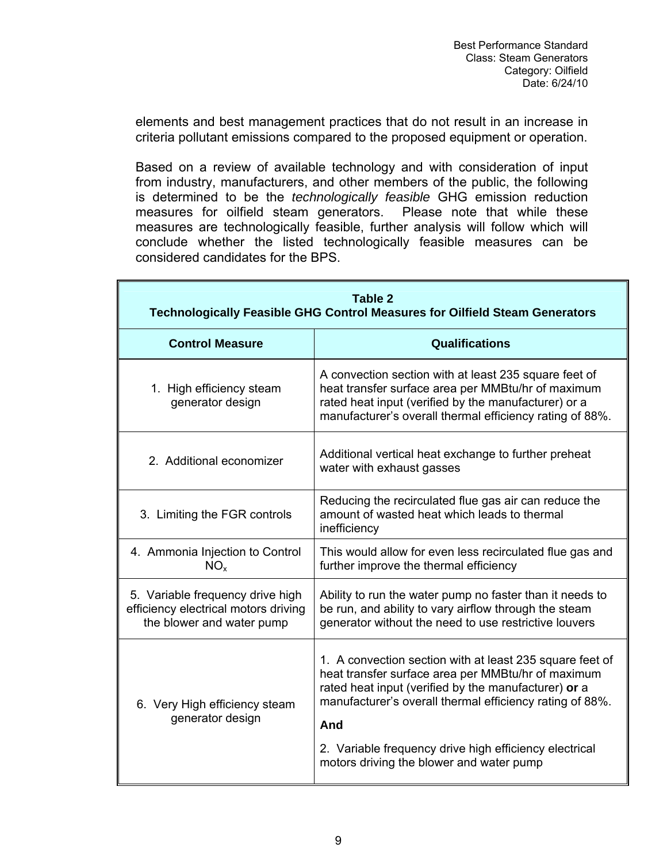elements and best management practices that do not result in an increase in criteria pollutant emissions compared to the proposed equipment or operation.

Based on a review of available technology and with consideration of input from industry, manufacturers, and other members of the public, the following is determined to be the *technologically feasible* GHG emission reduction measures for oilfield steam generators. Please note that while these measures are technologically feasible, further analysis will follow which will conclude whether the listed technologically feasible measures can be considered candidates for the BPS.

|                                                                                                       | Table 2<br><b>Technologically Feasible GHG Control Measures for Oilfield Steam Generators</b>                                                                                                                                      |
|-------------------------------------------------------------------------------------------------------|------------------------------------------------------------------------------------------------------------------------------------------------------------------------------------------------------------------------------------|
| <b>Control Measure</b>                                                                                | <b>Qualifications</b>                                                                                                                                                                                                              |
| 1. High efficiency steam<br>generator design                                                          | A convection section with at least 235 square feet of<br>heat transfer surface area per MMBtu/hr of maximum<br>rated heat input (verified by the manufacturer) or a<br>manufacturer's overall thermal efficiency rating of 88%.    |
| 2. Additional economizer                                                                              | Additional vertical heat exchange to further preheat<br>water with exhaust gasses                                                                                                                                                  |
| 3. Limiting the FGR controls                                                                          | Reducing the recirculated flue gas air can reduce the<br>amount of wasted heat which leads to thermal<br>inefficiency                                                                                                              |
| 4. Ammonia Injection to Control<br>NO <sub>x</sub>                                                    | This would allow for even less recirculated flue gas and<br>further improve the thermal efficiency                                                                                                                                 |
| 5. Variable frequency drive high<br>efficiency electrical motors driving<br>the blower and water pump | Ability to run the water pump no faster than it needs to<br>be run, and ability to vary airflow through the steam<br>generator without the need to use restrictive louvers                                                         |
| 6. Very High efficiency steam<br>generator design                                                     | 1. A convection section with at least 235 square feet of<br>heat transfer surface area per MMBtu/hr of maximum<br>rated heat input (verified by the manufacturer) or a<br>manufacturer's overall thermal efficiency rating of 88%. |
|                                                                                                       | And<br>2. Variable frequency drive high efficiency electrical<br>motors driving the blower and water pump                                                                                                                          |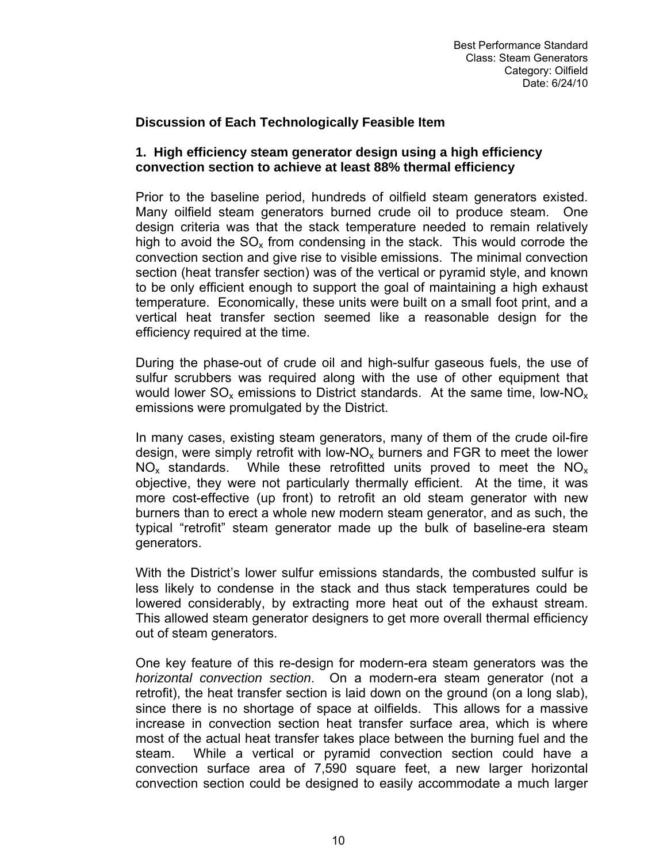### **Discussion of Each Technologically Feasible Item**

#### **1. High efficiency steam generator design using a high efficiency convection section to achieve at least 88% thermal efficiency**

Prior to the baseline period, hundreds of oilfield steam generators existed. Many oilfield steam generators burned crude oil to produce steam. One design criteria was that the stack temperature needed to remain relatively high to avoid the  $SO<sub>x</sub>$  from condensing in the stack. This would corrode the convection section and give rise to visible emissions. The minimal convection section (heat transfer section) was of the vertical or pyramid style, and known to be only efficient enough to support the goal of maintaining a high exhaust temperature. Economically, these units were built on a small foot print, and a vertical heat transfer section seemed like a reasonable design for the efficiency required at the time.

During the phase-out of crude oil and high-sulfur gaseous fuels, the use of sulfur scrubbers was required along with the use of other equipment that would lower  $SO_x$  emissions to District standards. At the same time, low-NO<sub>x</sub> emissions were promulgated by the District.

In many cases, existing steam generators, many of them of the crude oil-fire design, were simply retrofit with low-NO<sub>x</sub> burners and FGR to meet the lower  $NO<sub>x</sub>$  standards. While these retrofitted units proved to meet the  $NO<sub>x</sub>$ objective, they were not particularly thermally efficient. At the time, it was more cost-effective (up front) to retrofit an old steam generator with new burners than to erect a whole new modern steam generator, and as such, the typical "retrofit" steam generator made up the bulk of baseline-era steam generators.

With the District's lower sulfur emissions standards, the combusted sulfur is less likely to condense in the stack and thus stack temperatures could be lowered considerably, by extracting more heat out of the exhaust stream. This allowed steam generator designers to get more overall thermal efficiency out of steam generators.

One key feature of this re-design for modern-era steam generators was the *horizontal convection section*. On a modern-era steam generator (not a retrofit), the heat transfer section is laid down on the ground (on a long slab), since there is no shortage of space at oilfields. This allows for a massive increase in convection section heat transfer surface area, which is where most of the actual heat transfer takes place between the burning fuel and the steam. While a vertical or pyramid convection section could have a convection surface area of 7,590 square feet, a new larger horizontal convection section could be designed to easily accommodate a much larger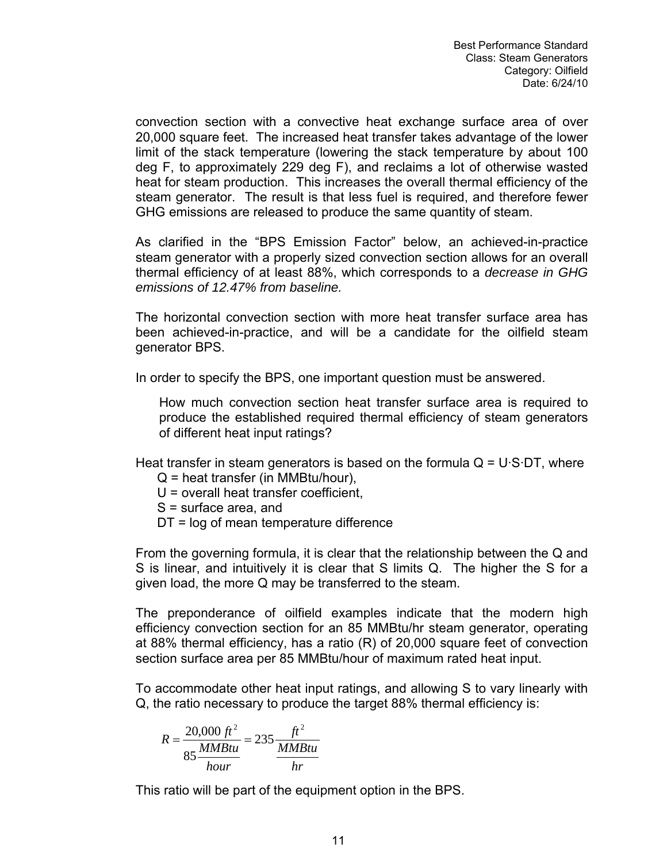convection section with a convective heat exchange surface area of over 20,000 square feet. The increased heat transfer takes advantage of the lower limit of the stack temperature (lowering the stack temperature by about 100 deg F, to approximately 229 deg F), and reclaims a lot of otherwise wasted heat for steam production. This increases the overall thermal efficiency of the steam generator. The result is that less fuel is required, and therefore fewer GHG emissions are released to produce the same quantity of steam.

As clarified in the "BPS Emission Factor" below, an achieved-in-practice steam generator with a properly sized convection section allows for an overall thermal efficiency of at least 88%, which corresponds to a *decrease in GHG emissions of 12.47% from baseline.* 

The horizontal convection section with more heat transfer surface area has been achieved-in-practice, and will be a candidate for the oilfield steam generator BPS.

In order to specify the BPS, one important question must be answered.

How much convection section heat transfer surface area is required to produce the established required thermal efficiency of steam generators of different heat input ratings?

Heat transfer in steam generators is based on the formula  $Q = U \cdot S \cdot DT$ , where  $Q$  = heat transfer (in MMBtu/hour),

U = overall heat transfer coefficient,

S = surface area, and

DT = log of mean temperature difference

From the governing formula, it is clear that the relationship between the Q and S is linear, and intuitively it is clear that S limits Q. The higher the S for a given load, the more Q may be transferred to the steam.

The preponderance of oilfield examples indicate that the modern high efficiency convection section for an 85 MMBtu/hr steam generator, operating at 88% thermal efficiency, has a ratio (R) of 20,000 square feet of convection section surface area per 85 MMBtu/hour of maximum rated heat input.

To accommodate other heat input ratings, and allowing S to vary linearly with Q, the ratio necessary to produce the target 88% thermal efficiency is:

$$
R = \frac{20,000 \, ft^2}{85 \frac{MMBtu}{hour}} = 235 \frac{ft^2}{\frac{MMBtu}{hr}}
$$

This ratio will be part of the equipment option in the BPS.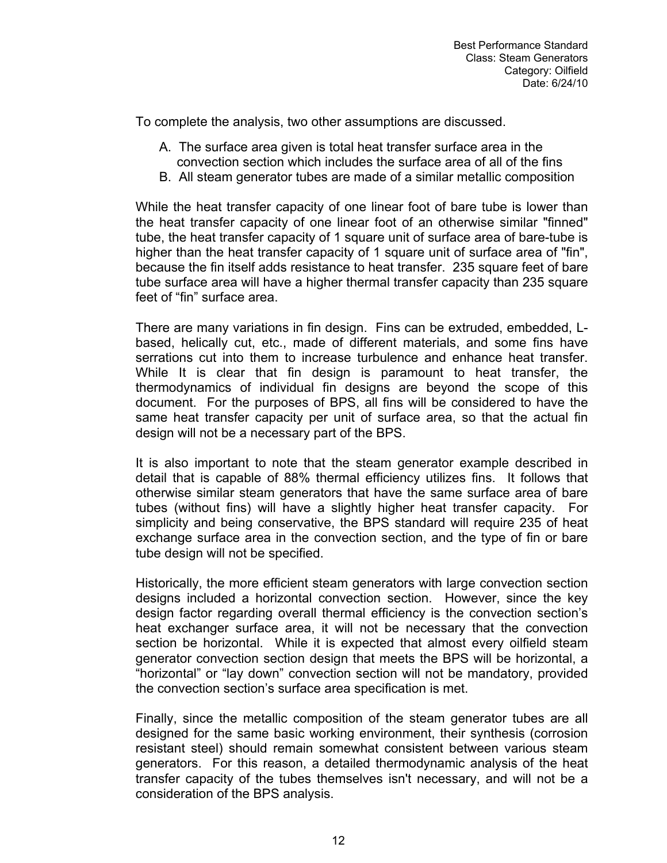To complete the analysis, two other assumptions are discussed.

- A. The surface area given is total heat transfer surface area in the convection section which includes the surface area of all of the fins
- B. All steam generator tubes are made of a similar metallic composition

While the heat transfer capacity of one linear foot of bare tube is lower than the heat transfer capacity of one linear foot of an otherwise similar "finned" tube, the heat transfer capacity of 1 square unit of surface area of bare-tube is higher than the heat transfer capacity of 1 square unit of surface area of "fin", because the fin itself adds resistance to heat transfer. 235 square feet of bare tube surface area will have a higher thermal transfer capacity than 235 square feet of "fin" surface area.

There are many variations in fin design. Fins can be extruded, embedded, Lbased, helically cut, etc., made of different materials, and some fins have serrations cut into them to increase turbulence and enhance heat transfer. While It is clear that fin design is paramount to heat transfer, the thermodynamics of individual fin designs are beyond the scope of this document. For the purposes of BPS, all fins will be considered to have the same heat transfer capacity per unit of surface area, so that the actual fin design will not be a necessary part of the BPS.

It is also important to note that the steam generator example described in detail that is capable of 88% thermal efficiency utilizes fins. It follows that otherwise similar steam generators that have the same surface area of bare tubes (without fins) will have a slightly higher heat transfer capacity. For simplicity and being conservative, the BPS standard will require 235 of heat exchange surface area in the convection section, and the type of fin or bare tube design will not be specified.

Historically, the more efficient steam generators with large convection section designs included a horizontal convection section. However, since the key design factor regarding overall thermal efficiency is the convection section's heat exchanger surface area, it will not be necessary that the convection section be horizontal. While it is expected that almost every oilfield steam generator convection section design that meets the BPS will be horizontal, a "horizontal" or "lay down" convection section will not be mandatory, provided the convection section's surface area specification is met.

Finally, since the metallic composition of the steam generator tubes are all designed for the same basic working environment, their synthesis (corrosion resistant steel) should remain somewhat consistent between various steam generators. For this reason, a detailed thermodynamic analysis of the heat transfer capacity of the tubes themselves isn't necessary, and will not be a consideration of the BPS analysis.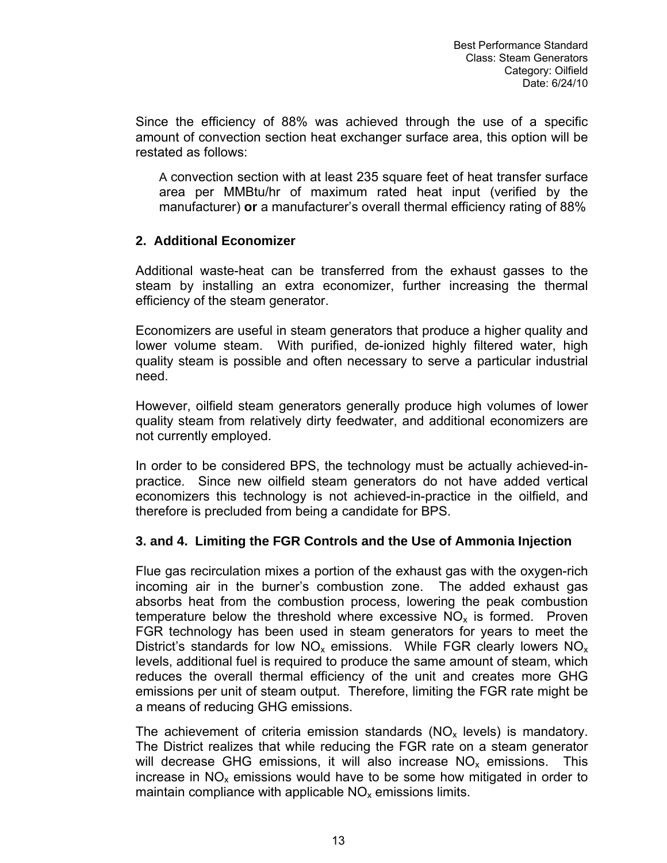Since the efficiency of 88% was achieved through the use of a specific amount of convection section heat exchanger surface area, this option will be restated as follows:

A convection section with at least 235 square feet of heat transfer surface area per MMBtu/hr of maximum rated heat input (verified by the manufacturer) **or** a manufacturer's overall thermal efficiency rating of 88%

# **2. Additional Economizer**

Additional waste-heat can be transferred from the exhaust gasses to the steam by installing an extra economizer, further increasing the thermal efficiency of the steam generator.

Economizers are useful in steam generators that produce a higher quality and lower volume steam. With purified, de-ionized highly filtered water, high quality steam is possible and often necessary to serve a particular industrial need.

However, oilfield steam generators generally produce high volumes of lower quality steam from relatively dirty feedwater, and additional economizers are not currently employed.

In order to be considered BPS, the technology must be actually achieved-inpractice. Since new oilfield steam generators do not have added vertical economizers this technology is not achieved-in-practice in the oilfield, and therefore is precluded from being a candidate for BPS.

# **3. and 4. Limiting the FGR Controls and the Use of Ammonia Injection**

Flue gas recirculation mixes a portion of the exhaust gas with the oxygen-rich incoming air in the burner's combustion zone. The added exhaust gas absorbs heat from the combustion process, lowering the peak combustion temperature below the threshold where excessive  $NO<sub>x</sub>$  is formed. Proven FGR technology has been used in steam generators for years to meet the District's standards for low  $NO_x$  emissions. While FGR clearly lowers  $NO_x$ levels, additional fuel is required to produce the same amount of steam, which reduces the overall thermal efficiency of the unit and creates more GHG emissions per unit of steam output. Therefore, limiting the FGR rate might be a means of reducing GHG emissions.

The achievement of criteria emission standards  $(NO_x \text{ levels})$  is mandatory. The District realizes that while reducing the FGR rate on a steam generator will decrease GHG emissions, it will also increase  $NO<sub>x</sub>$  emissions. This increase in  $NO<sub>x</sub>$  emissions would have to be some how mitigated in order to maintain compliance with applicable  $NO<sub>x</sub>$  emissions limits.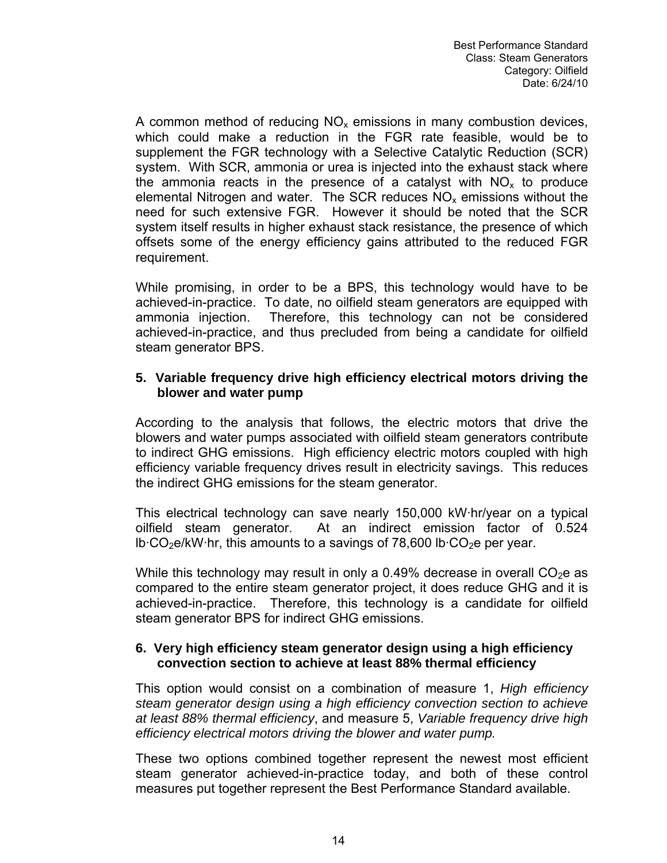A common method of reducing  $NO<sub>x</sub>$  emissions in many combustion devices, which could make a reduction in the FGR rate feasible, would be to supplement the FGR technology with a Selective Catalytic Reduction (SCR) system. With SCR, ammonia or urea is injected into the exhaust stack where the ammonia reacts in the presence of a catalyst with  $NO<sub>x</sub>$  to produce elemental Nitrogen and water. The SCR reduces  $NO<sub>x</sub>$  emissions without the need for such extensive FGR. However it should be noted that the SCR system itself results in higher exhaust stack resistance, the presence of which offsets some of the energy efficiency gains attributed to the reduced FGR requirement.

While promising, in order to be a BPS, this technology would have to be achieved-in-practice. To date, no oilfield steam generators are equipped with ammonia injection. Therefore, this technology can not be considered achieved-in-practice, and thus precluded from being a candidate for oilfield steam generator BPS.

#### **5. Variable frequency drive high efficiency electrical motors driving the blower and water pump**

According to the analysis that follows, the electric motors that drive the blowers and water pumps associated with oilfield steam generators contribute to indirect GHG emissions. High efficiency electric motors coupled with high efficiency variable frequency drives result in electricity savings. This reduces the indirect GHG emissions for the steam generator.

This electrical technology can save nearly 150,000 kW·hr/year on a typical oilfield steam generator. At an indirect emission factor of 0.524  $lb \cdot CO_2e/kW \cdot hr$ , this amounts to a savings of 78,600 lb $\cdot CO_2e$  per year.

While this technology may result in only a 0.49% decrease in overall  $CO<sub>2</sub>e$  as compared to the entire steam generator project, it does reduce GHG and it is achieved-in-practice. Therefore, this technology is a candidate for oilfield steam generator BPS for indirect GHG emissions.

#### **6. Very high efficiency steam generator design using a high efficiency convection section to achieve at least 88% thermal efficiency**

This option would consist on a combination of measure 1, *High efficiency steam generator design using a high efficiency convection section to achieve at least 88% thermal efficiency*, and measure 5, *Variable frequency drive high efficiency electrical motors driving the blower and water pump.* 

These two options combined together represent the newest most efficient steam generator achieved-in-practice today, and both of these control measures put together represent the Best Performance Standard available.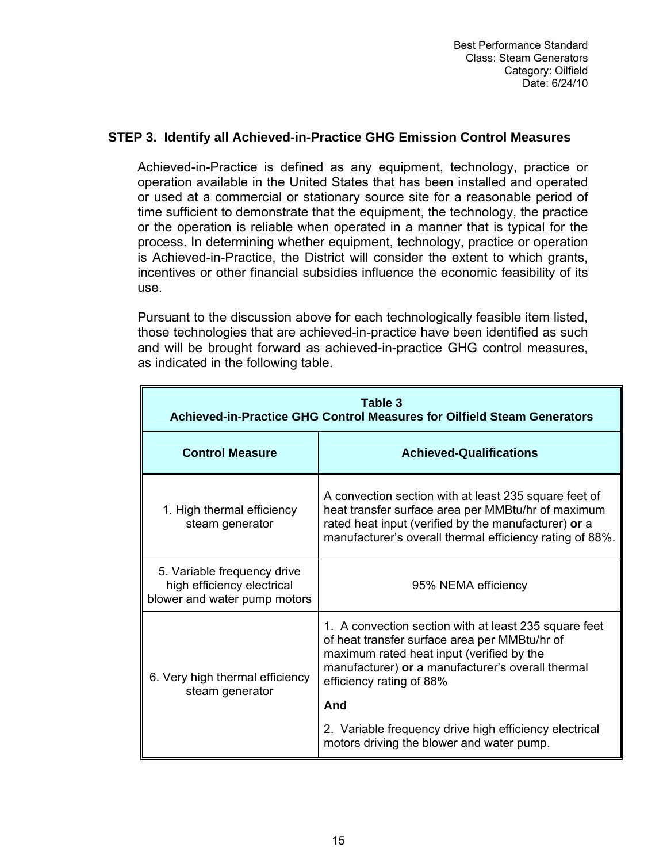#### **STEP 3. Identify all Achieved-in-Practice GHG Emission Control Measures**

Achieved-in-Practice is defined as any equipment, technology, practice or operation available in the United States that has been installed and operated or used at a commercial or stationary source site for a reasonable period of time sufficient to demonstrate that the equipment, the technology, the practice or the operation is reliable when operated in a manner that is typical for the process. In determining whether equipment, technology, practice or operation is Achieved-in-Practice, the District will consider the extent to which grants, incentives or other financial subsidies influence the economic feasibility of its use.

Pursuant to the discussion above for each technologically feasible item listed, those technologies that are achieved-in-practice have been identified as such and will be brought forward as achieved-in-practice GHG control measures, as indicated in the following table.

| Table 3<br>Achieved-in-Practice GHG Control Measures for Oilfield Steam Generators        |                                                                                                                                                                                                                                      |  |  |  |  |  |  |  |  |  |  |  |
|-------------------------------------------------------------------------------------------|--------------------------------------------------------------------------------------------------------------------------------------------------------------------------------------------------------------------------------------|--|--|--|--|--|--|--|--|--|--|--|
| <b>Control Measure</b>                                                                    | <b>Achieved-Qualifications</b>                                                                                                                                                                                                       |  |  |  |  |  |  |  |  |  |  |  |
| 1. High thermal efficiency<br>steam generator                                             | A convection section with at least 235 square feet of<br>heat transfer surface area per MMBtu/hr of maximum<br>rated heat input (verified by the manufacturer) or a<br>manufacturer's overall thermal efficiency rating of 88%.      |  |  |  |  |  |  |  |  |  |  |  |
| 5. Variable frequency drive<br>high efficiency electrical<br>blower and water pump motors | 95% NEMA efficiency                                                                                                                                                                                                                  |  |  |  |  |  |  |  |  |  |  |  |
| 6. Very high thermal efficiency<br>steam generator                                        | 1. A convection section with at least 235 square feet<br>of heat transfer surface area per MMBtu/hr of<br>maximum rated heat input (verified by the<br>manufacturer) or a manufacturer's overall thermal<br>efficiency rating of 88% |  |  |  |  |  |  |  |  |  |  |  |
|                                                                                           | And                                                                                                                                                                                                                                  |  |  |  |  |  |  |  |  |  |  |  |
|                                                                                           | 2. Variable frequency drive high efficiency electrical<br>motors driving the blower and water pump.                                                                                                                                  |  |  |  |  |  |  |  |  |  |  |  |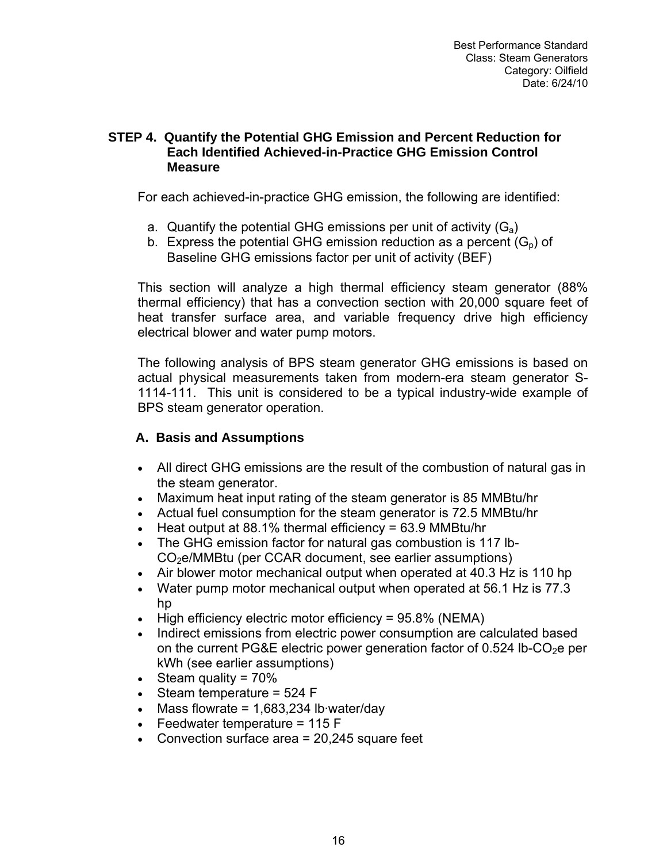#### **STEP 4. Quantify the Potential GHG Emission and Percent Reduction for Each Identified Achieved-in-Practice GHG Emission Control Measure**

For each achieved-in-practice GHG emission, the following are identified:

- a. Quantify the potential GHG emissions per unit of activity  $(G_a)$
- b. Express the potential GHG emission reduction as a percent  $(G_p)$  of Baseline GHG emissions factor per unit of activity (BEF)

This section will analyze a high thermal efficiency steam generator (88% thermal efficiency) that has a convection section with 20,000 square feet of heat transfer surface area, and variable frequency drive high efficiency electrical blower and water pump motors.

The following analysis of BPS steam generator GHG emissions is based on actual physical measurements taken from modern-era steam generator S-1114-111. This unit is considered to be a typical industry-wide example of BPS steam generator operation.

# **A. Basis and Assumptions**

- All direct GHG emissions are the result of the combustion of natural gas in the steam generator.
- Maximum heat input rating of the steam generator is 85 MMBtu/hr
- Actual fuel consumption for the steam generator is 72.5 MMBtu/hr
- Heat output at 88.1% thermal efficiency = 63.9 MMBtu/hr
- The GHG emission factor for natural gas combustion is 117 lb-CO2e/MMBtu (per CCAR document, see earlier assumptions)
- Air blower motor mechanical output when operated at 40.3 Hz is 110 hp
- Water pump motor mechanical output when operated at 56.1 Hz is 77.3 hp
- High efficiency electric motor efficiency = 95.8% (NEMA)
- Indirect emissions from electric power consumption are calculated based on the current PG&E electric power generation factor of  $0.524$  lb-CO<sub>2</sub>e per kWh ([see](http://www.pge.com/about/environment/calculator/assumptions.shtml) earlier assumptions)
- Steam quality = 70%
- Steam temperature = 524 F
- Mass flowrate =  $1,683,234$  lb water/day
- Feedwater temperature = 115 F
- Convection surface area =  $20,245$  square feet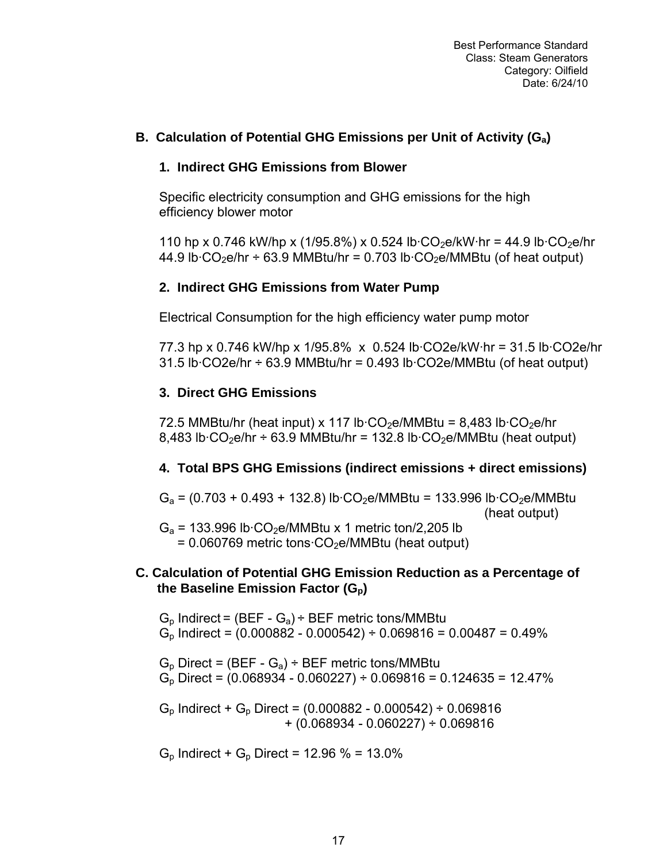# **B. Calculation of Potential GHG Emissions per Unit of Activity (Ga)**

#### **1. Indirect GHG Emissions from Blower**

Specific electricity consumption and GHG emissions for the high efficiency blower motor

110 hp x 0.746 kW/hp x (1/95.8%) x 0.524 lb·CO<sub>2</sub>e/kW·hr = 44.9 lb·CO<sub>2</sub>e/hr 44.9 lb $\cdot$ CO<sub>2</sub>e/hr ÷ 63.9 MMBtu/hr = 0.703 lb $\cdot$ CO<sub>2</sub>e/MMBtu (of heat output)

#### **2. Indirect GHG Emissions from Water Pump**

Electrical Consumption for the high efficiency water pump motor

77.3 hp x 0.746 kW/hp x 1/95.8% x 0.524 lb·CO2e/kW·hr = 31.5 lb·CO2e/hr  $31.5$  lb $\cdot$ CO2e/hr  $\div$  63.9 MMBtu/hr = 0.493 lb $\cdot$ CO2e/MMBtu (of heat output)

#### **3. Direct GHG Emissions**

72.5 MMBtu/hr (heat input) x 117 lb $\cdot$ CO<sub>2</sub>e/MMBtu = 8,483 lb $\cdot$ CO<sub>2</sub>e/hr 8,483 lb·CO<sub>2</sub>e/hr ÷ 63.9 MMBtu/hr = 132.8 lb·CO<sub>2</sub>e/MMBtu (heat output)

# **4. Total BPS GHG Emissions (indirect emissions + direct emissions)**

 $G_a = (0.703 + 0.493 + 132.8)$  lb·CO<sub>2</sub>e/MMBtu = 133.996 lb·CO<sub>2</sub>e/MMBtu (heat output)

 $G_a$  = 133.996 lb·CO<sub>2</sub>e/MMBtu x 1 metric ton/2,205 lb  $= 0.060769$  metric tons $\cdot CO_2$ e/MMBtu (heat output)

#### **C. Calculation of Potential GHG Emission Reduction as a Percentage of the Baseline Emission Factor (Gp)**

 $G_p$  Indirect = (BEF -  $G_a$ ) ÷ BEF metric tons/MMBtu  $G_p$  Indirect = (0.000882 - 0.000542) ÷ 0.069816 = 0.00487 = 0.49%

 $G_p$  Direct = (BEF -  $G_a$ ) ÷ BEF metric tons/MMBtu  $G_p$  Direct = (0.068934 - 0.060227) ÷ 0.069816 = 0.124635 = 12.47%

 $G_p$  Indirect +  $G_p$  Direct = (0.000882 - 0.000542) ÷ 0.069816 + (0.068934 - 0.060227) ÷ 0.069816

 $G_p$  Indirect +  $G_p$  Direct = 12.96 % = 13.0%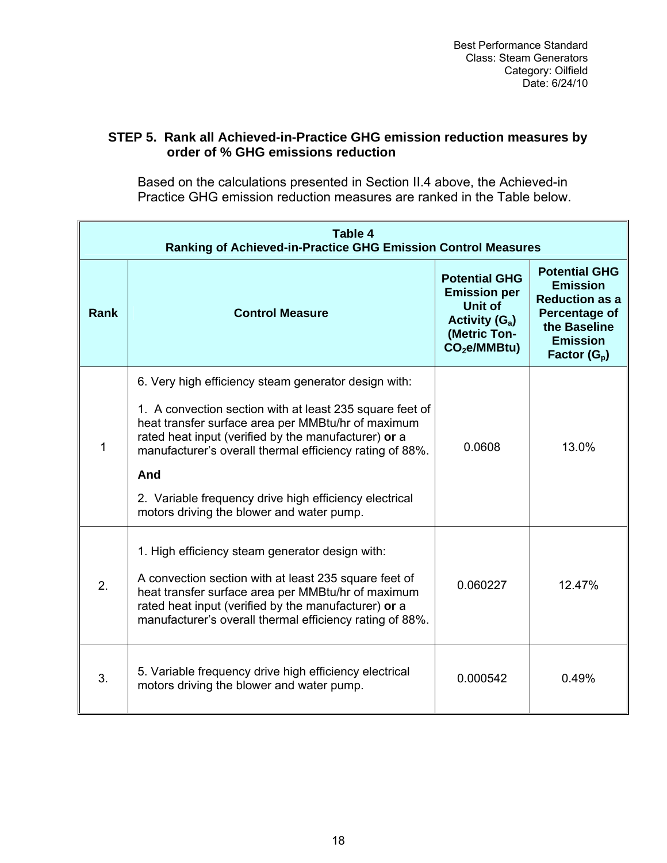# **STEP 5. Rank all Achieved-in-Practice GHG emission reduction measures by order of % GHG emissions reduction**

Based on the calculations presented in Section II.4 above, the Achieved-in Practice GHG emission reduction measures are ranked in the Table below.

| <b>Table 4</b><br>Ranking of Achieved-in-Practice GHG Emission Control Measures |                                                                                                                                                                                                                                                                                                                                                                                                          |                                                                                                              |        |  |  |  |  |  |  |  |  |  |
|---------------------------------------------------------------------------------|----------------------------------------------------------------------------------------------------------------------------------------------------------------------------------------------------------------------------------------------------------------------------------------------------------------------------------------------------------------------------------------------------------|--------------------------------------------------------------------------------------------------------------|--------|--|--|--|--|--|--|--|--|--|
| <b>Rank</b>                                                                     | <b>Control Measure</b>                                                                                                                                                                                                                                                                                                                                                                                   | <b>Potential GHG</b><br><b>Emission per</b><br>Unit of<br>Activity $(G_a)$<br>(Metric Ton-<br>$CO2e/MMBtu$ ) |        |  |  |  |  |  |  |  |  |  |
| 1                                                                               | 6. Very high efficiency steam generator design with:<br>1. A convection section with at least 235 square feet of<br>heat transfer surface area per MMBtu/hr of maximum<br>rated heat input (verified by the manufacturer) or a<br>manufacturer's overall thermal efficiency rating of 88%.<br>And<br>2. Variable frequency drive high efficiency electrical<br>motors driving the blower and water pump. | 0.0608                                                                                                       | 13.0%  |  |  |  |  |  |  |  |  |  |
| 2.                                                                              | 1. High efficiency steam generator design with:<br>A convection section with at least 235 square feet of<br>heat transfer surface area per MMBtu/hr of maximum<br>rated heat input (verified by the manufacturer) or a<br>manufacturer's overall thermal efficiency rating of 88%.                                                                                                                       | 0.060227                                                                                                     | 12.47% |  |  |  |  |  |  |  |  |  |
| 3.                                                                              | 5. Variable frequency drive high efficiency electrical<br>motors driving the blower and water pump.                                                                                                                                                                                                                                                                                                      | 0.000542                                                                                                     | 0.49%  |  |  |  |  |  |  |  |  |  |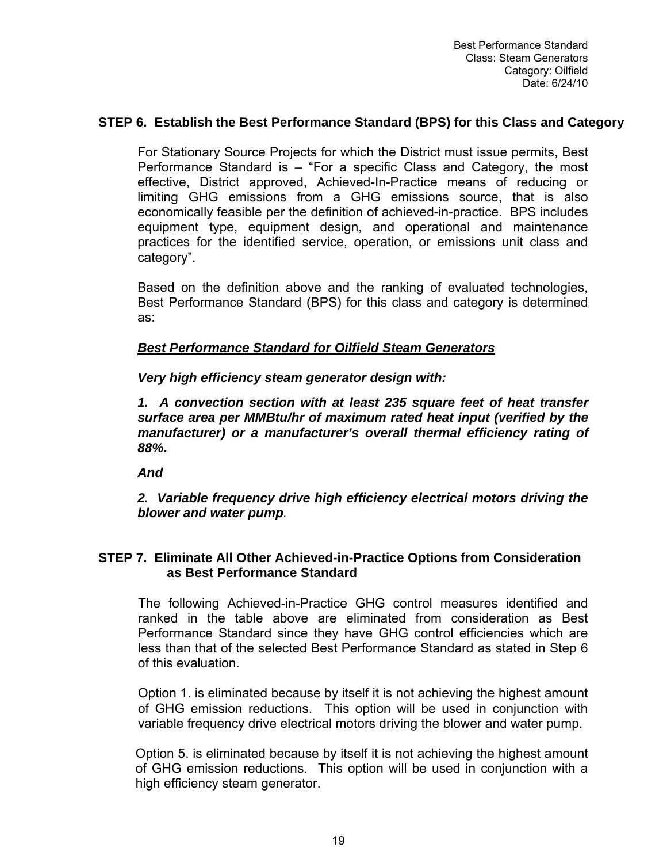#### **STEP 6. Establish the Best Performance Standard (BPS) for this Class and Category**

For Stationary Source Projects for which the District must issue permits, Best Performance Standard is – "For a specific Class and Category, the most effective, District approved, Achieved-In-Practice means of reducing or limiting GHG emissions from a GHG emissions source, that is also economically feasible per the definition of achieved-in-practice. BPS includes equipment type, equipment design, and operational and maintenance practices for the identified service, operation, or emissions unit class and category".

Based on the definition above and the ranking of evaluated technologies, Best Performance Standard (BPS) for this class and category is determined as:

#### *Best Performance Standard for Oilfield Steam Generators*

*Very high efficiency steam generator design with:* 

*1. A convection section with at least 235 square feet of heat transfer surface area per MMBtu/hr of maximum rated heat input (verified by the manufacturer) or a manufacturer's overall thermal efficiency rating of 88%.* 

*And* 

*2. Variable frequency drive high efficiency electrical motors driving the blower and water pump.*

#### **STEP 7. Eliminate All Other Achieved-in-Practice Options from Consideration as Best Performance Standard**

The following Achieved-in-Practice GHG control measures identified and ranked in the table above are eliminated from consideration as Best Performance Standard since they have GHG control efficiencies which are less than that of the selected Best Performance Standard as stated in Step 6 of this evaluation.

Option 1. is eliminated because by itself it is not achieving the highest amount of GHG emission reductions. This option will be used in conjunction with variable frequency drive electrical motors driving the blower and water pump.

Option 5. is eliminated because by itself it is not achieving the highest amount of GHG emission reductions. This option will be used in conjunction with a high efficiency steam generator.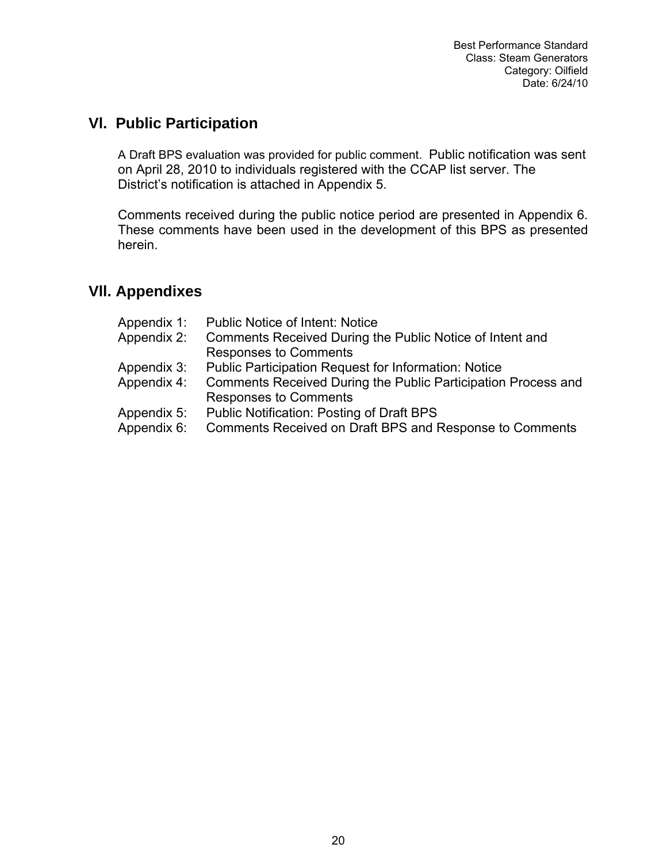# **Vl. Public Participation**

A Draft BPS evaluation was provided for public comment. Public notification was sent on April 28, 2010 to individuals registered with the CCAP list server. The District's notification is attached in Appendix 5.

Comments received during the public notice period are presented in Appendix 6. These comments have been used in the development of this BPS as presented herein.

# **Vll. Appendixes**

| Appendix 1: | <b>Public Notice of Intent: Notice</b>                        |
|-------------|---------------------------------------------------------------|
| Appendix 2: | Comments Received During the Public Notice of Intent and      |
|             | <b>Responses to Comments</b>                                  |
| Appendix 3: | <b>Public Participation Request for Information: Notice</b>   |
| Appendix 4: | Comments Received During the Public Participation Process and |
|             | <b>Responses to Comments</b>                                  |
| Appendix 5: | Public Notification: Posting of Draft BPS                     |
| Appendix 6: | Comments Received on Draft BPS and Response to Comments       |
|             |                                                               |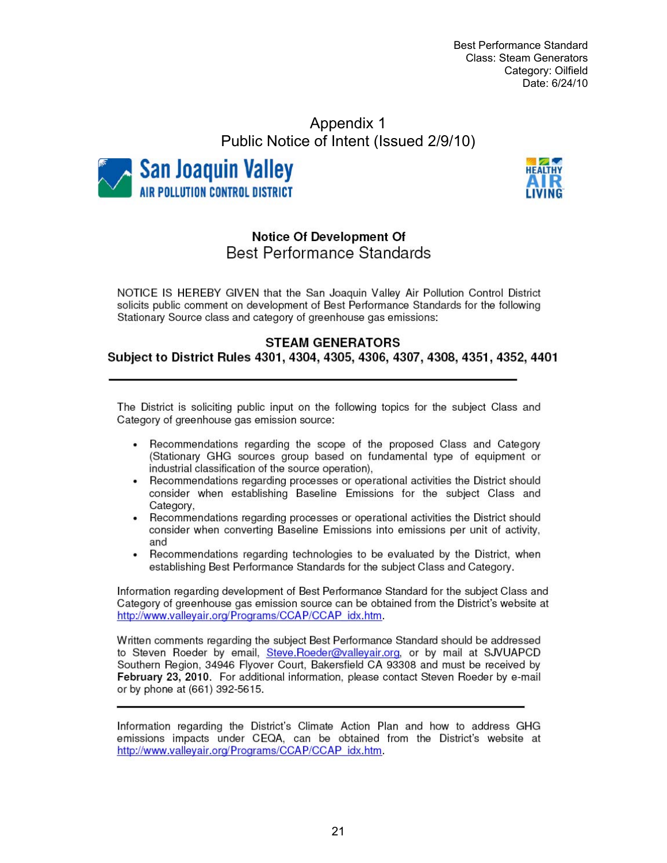Best Performance Standard Class: Steam Generators Category: Oilfield Date: 6/24/10

# Appendix 1 Public Notice of Intent (Issued 2/9/10)





# **Notice Of Development Of** Best Performance Standards

NOTICE IS HEREBY GIVEN that the San Joaquin Valley Air Pollution Control District solicits public comment on development of Best Performance Standards for the following Stationary Source class and category of greenhouse gas emissions:

#### **STEAM GENERATORS**

Subject to District Rules 4301, 4304, 4305, 4306, 4307, 4308, 4351, 4352, 4401

The District is soliciting public input on the following topics for the subject Class and Category of greenhouse gas emission source:

- Recommendations regarding the scope of the proposed Class and Category  $\bullet$ (Stationary GHG sources group based on fundamental type of equipment or industrial classification of the source operation),
- Recommendations regarding processes or operational activities the District should consider when establishing Baseline Emissions for the subject Class and Category.
- Recommendations regarding processes or operational activities the District should consider when converting Baseline Emissions into emissions per unit of activity, and
- Recommendations regarding technologies to be evaluated by the District, when  $\bullet$ establishing Best Performance Standards for the subject Class and Category.

Information regarding development of Best Performance Standard for the subject Class and Category of greenhouse gas emission source can be obtained from the District's website at http://www.vallevair.org/Programs/CCAP/CCAP\_idx.htm.

Written comments regarding the subject Best Performance Standard should be addressed to Steven Roeder by email, Steve.Roeder@valleyair.org, or by mail at SJVUAPCD Southern Region, 34946 Flyover Court, Bakersfield CA 93308 and must be received by February 23, 2010. For additional information, please contact Steven Roeder by e-mail or by phone at (661) 392-5615.

Information regarding the District's Climate Action Plan and how to address GHG emissions impacts under CEQA, can be obtained from the District's website at http://www.valleyair.org/Programs/CCAP/CCAP idx.htm.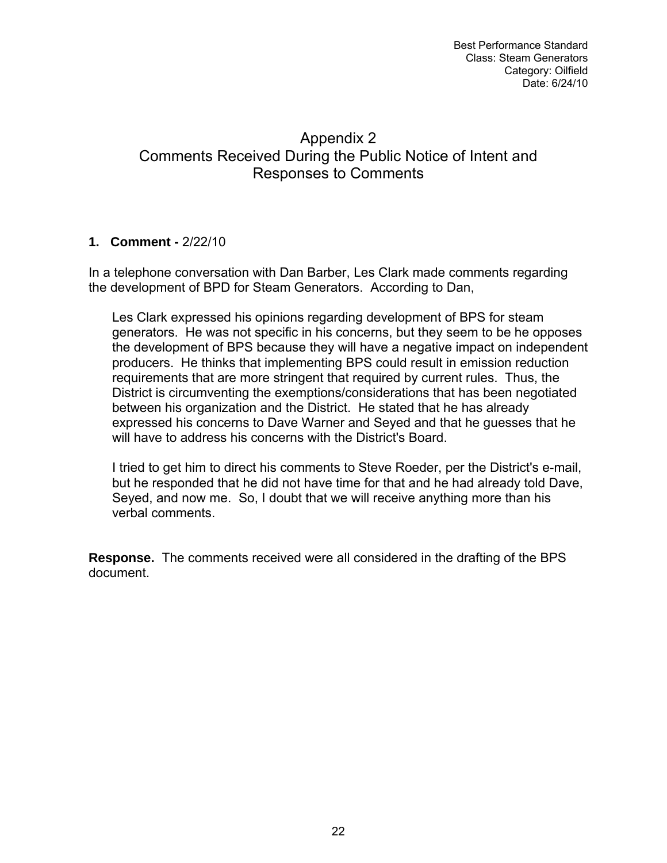# Appendix 2 Comments Received During the Public Notice of Intent and Responses to Comments

# **1. Comment -** 2/22/10

In a telephone conversation with Dan Barber, Les Clark made comments regarding the development of BPD for Steam Generators. According to Dan,

Les Clark expressed his opinions regarding development of BPS for steam generators. He was not specific in his concerns, but they seem to be he opposes the development of BPS because they will have a negative impact on independent producers. He thinks that implementing BPS could result in emission reduction requirements that are more stringent that required by current rules. Thus, the District is circumventing the exemptions/considerations that has been negotiated between his organization and the District. He stated that he has already expressed his concerns to Dave Warner and Seyed and that he guesses that he will have to address his concerns with the District's Board.

I tried to get him to direct his comments to Steve Roeder, per the District's e-mail, but he responded that he did not have time for that and he had already told Dave, Seyed, and now me. So, I doubt that we will receive anything more than his verbal comments.

**Response.** The comments received were all considered in the drafting of the BPS document.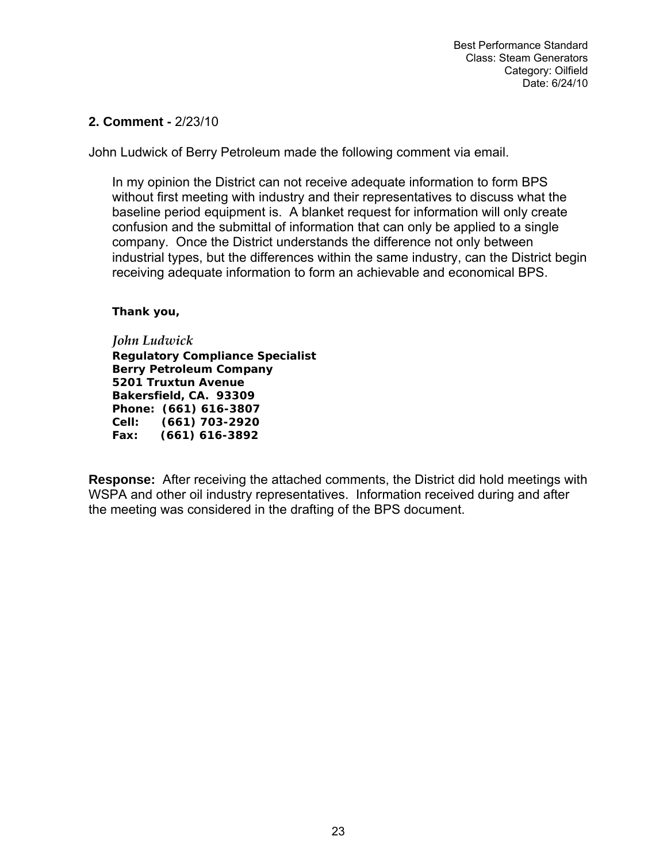#### **2. Comment -** 2/23/10

John Ludwick of Berry Petroleum made the following comment via email.

In my opinion the District can not receive adequate information to form BPS without first meeting with industry and their representatives to discuss what the baseline period equipment is. A blanket request for information will only create confusion and the submittal of information that can only be applied to a single company. Once the District understands the difference not only between industrial types, but the differences within the same industry, can the District begin receiving adequate information to form an achievable and economical BPS.

*Thank you,* 

*John Ludwick Regulatory Compliance Specialist Berry Petroleum Company 5201 Truxtun Avenue Bakersfield, CA. 93309 Phone: (661) 616-3807 Cell: (661) 703-2920 Fax: (661) 616-3892*

**Response:** After receiving the attached comments, the District did hold meetings with WSPA and other oil industry representatives. Information received during and after the meeting was considered in the drafting of the BPS document.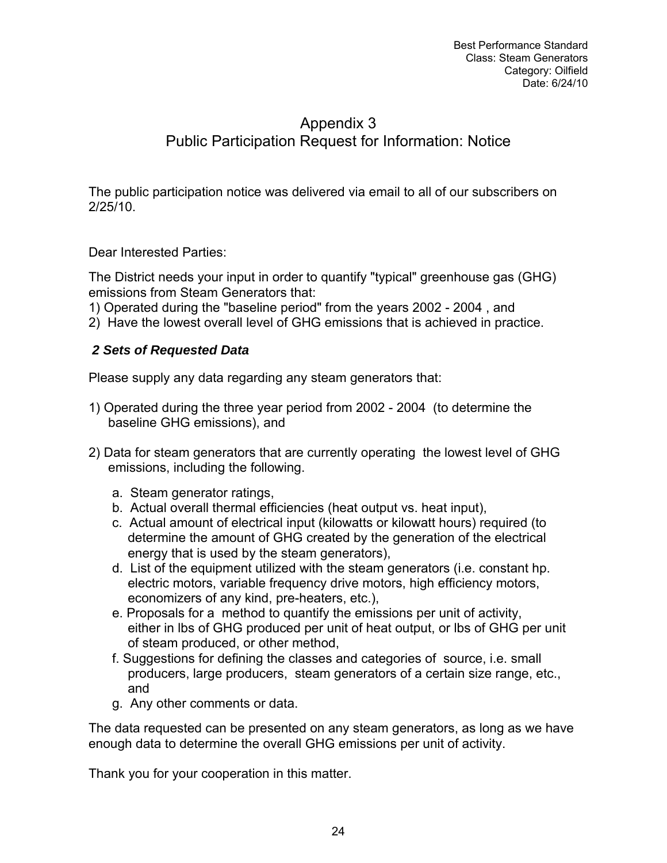# Appendix 3 Public Participation Request for Information: Notice

The public participation notice was delivered via email to all of our subscribers on 2/25/10.

Dear Interested Parties:

The District needs your input in order to quantify "typical" greenhouse gas (GHG) emissions from Steam Generators that:

1) Operated during the "baseline period" from the years 2002 - 2004 , and

2) Have the lowest overall level of GHG emissions that is achieved in practice.

# *2 Sets of Requested Data*

Please supply any data regarding any steam generators that:

- 1) Operated during the three year period from 2002 2004 (to determine the baseline GHG emissions), and
- 2) Data for steam generators that are currently operating the lowest level of GHG emissions, including the following.
	- a. Steam generator ratings,
	- b. Actual overall thermal efficiencies (heat output vs. heat input),
	- c. Actual amount of electrical input (kilowatts or kilowatt hours) required (to determine the amount of GHG created by the generation of the electrical energy that is used by the steam generators),
	- d. List of the equipment utilized with the steam generators (i.e. constant hp. electric motors, variable frequency drive motors, high efficiency motors, economizers of any kind, pre-heaters, etc.),
	- e. Proposals for a method to quantify the emissions per unit of activity, either in lbs of GHG produced per unit of heat output, or lbs of GHG per unit of steam produced, or other method,
	- f. Suggestions for defining the classes and categories of source, i.e. small producers, large producers, steam generators of a certain size range, etc., and
	- g. Any other comments or data.

The data requested can be presented on any steam generators, as long as we have enough data to determine the overall GHG emissions per unit of activity.

Thank you for your cooperation in this matter.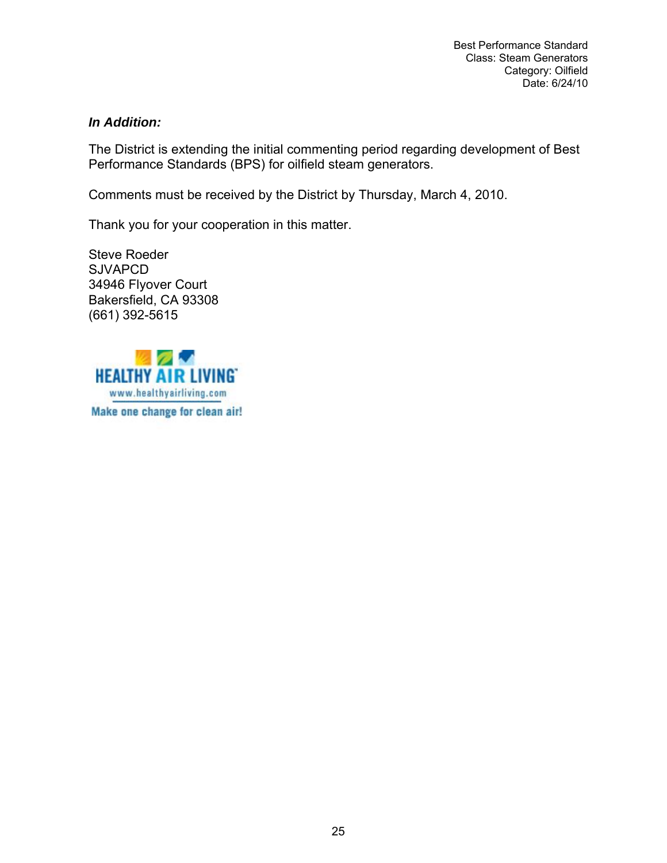#### *In Addition:*

The District is extending the initial commenting period regarding development of Best Performance Standards (BPS) for oilfield steam generators.

Comments must be received by the District by Thursday, March 4, 2010.

Thank you for your cooperation in this matter.

Steve Roeder **SJVAPCD** 34946 Flyover Court Bakersfield, CA 93308 (661) 392-5615

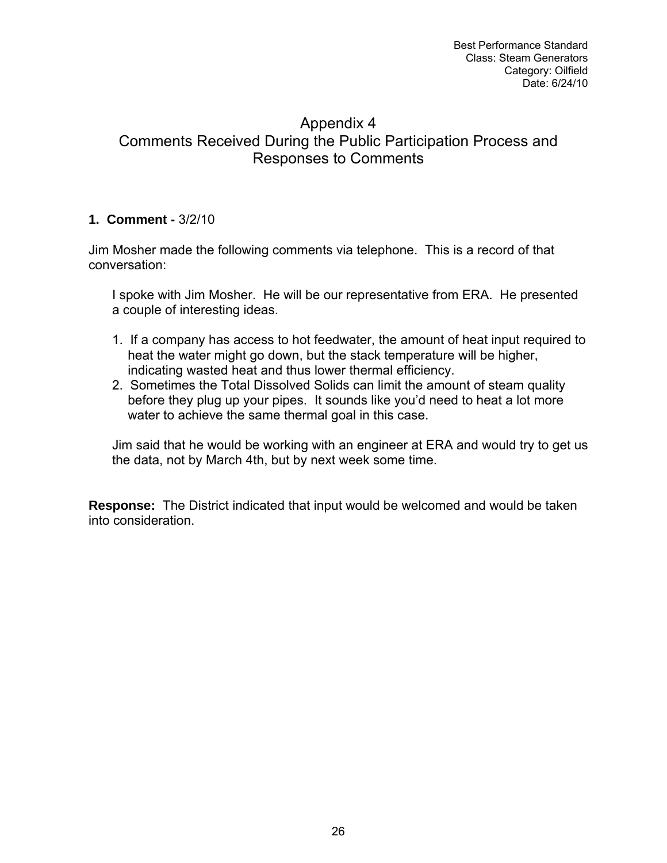# Appendix 4 Comments Received During the Public Participation Process and Responses to Comments

# **1. Comment -** 3/2/10

Jim Mosher made the following comments via telephone. This is a record of that conversation:

I spoke with Jim Mosher. He will be our representative from ERA. He presented a couple of interesting ideas.

- 1. If a company has access to hot feedwater, the amount of heat input required to heat the water might go down, but the stack temperature will be higher, indicating wasted heat and thus lower thermal efficiency.
- 2. Sometimes the Total Dissolved Solids can limit the amount of steam quality before they plug up your pipes. It sounds like you'd need to heat a lot more water to achieve the same thermal goal in this case.

Jim said that he would be working with an engineer at ERA and would try to get us the data, not by March 4th, but by next week some time.

**Response:** The District indicated that input would be welcomed and would be taken into consideration.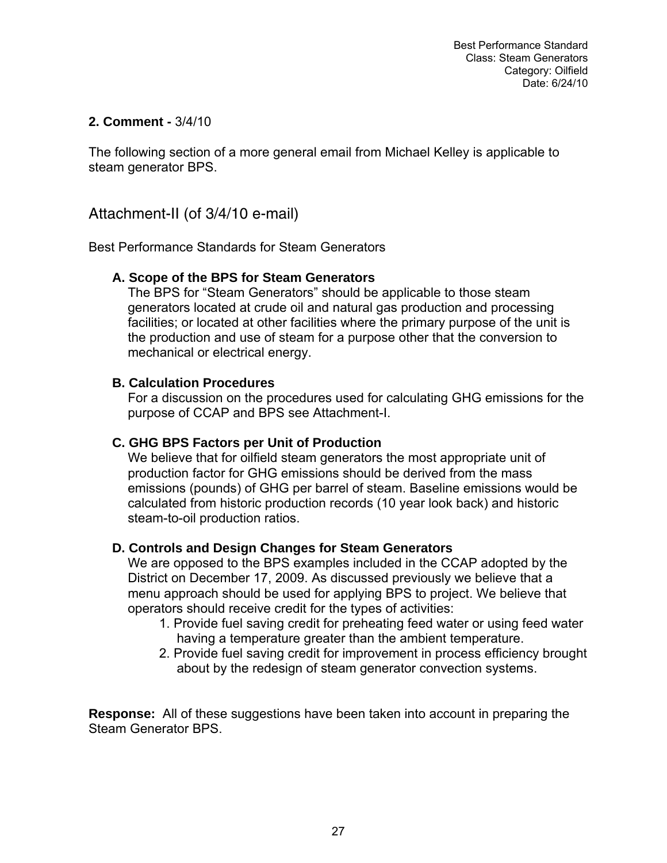#### **2. Comment -** 3/4/10

The following section of a more general email from Michael Kelley is applicable to steam generator BPS.

Attachment-II (of 3/4/10 e-mail)

Best Performance Standards for Steam Generators

#### **A. Scope of the BPS for Steam Generators**

The BPS for "Steam Generators" should be applicable to those steam generators located at crude oil and natural gas production and processing facilities; or located at other facilities where the primary purpose of the unit is the production and use of steam for a purpose other that the conversion to mechanical or electrical energy.

#### **B. Calculation Procedures**

For a discussion on the procedures used for calculating GHG emissions for the purpose of CCAP and BPS see Attachment-I.

# **C. GHG BPS Factors per Unit of Production**

We believe that for oilfield steam generators the most appropriate unit of production factor for GHG emissions should be derived from the mass emissions (pounds) of GHG per barrel of steam. Baseline emissions would be calculated from historic production records (10 year look back) and historic steam-to-oil production ratios.

# **D. Controls and Design Changes for Steam Generators**

We are opposed to the BPS examples included in the CCAP adopted by the District on December 17, 2009. As discussed previously we believe that a menu approach should be used for applying BPS to project. We believe that operators should receive credit for the types of activities:

- 1. Provide fuel saving credit for preheating feed water or using feed water having a temperature greater than the ambient temperature.
- 2. Provide fuel saving credit for improvement in process efficiency brought about by the redesign of steam generator convection systems.

**Response:** All of these suggestions have been taken into account in preparing the Steam Generator BPS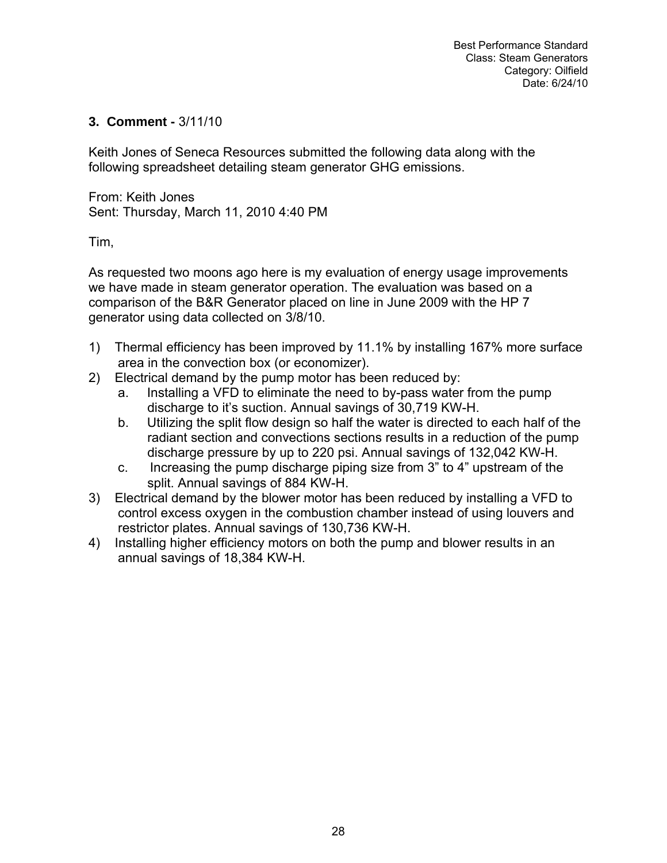#### **3. Comment -** 3/11/10

Keith Jones of Seneca Resources submitted the following data along with the following spreadsheet detailing steam generator GHG emissions.

From: Keith Jones Sent: Thursday, March 11, 2010 4:40 PM

Tim,

As requested two moons ago here is my evaluation of energy usage improvements we have made in steam generator operation. The evaluation was based on a comparison of the B&R Generator placed on line in June 2009 with the HP 7 generator using data collected on 3/8/10.

- 1) Thermal efficiency has been improved by 11.1% by installing 167% more surface area in the convection box (or economizer).
- 2) Electrical demand by the pump motor has been reduced by:
	- a. Installing a VFD to eliminate the need to by-pass water from the pump discharge to it's suction. Annual savings of 30,719 KW-H.
	- b. Utilizing the split flow design so half the water is directed to each half of the radiant section and convections sections results in a reduction of the pump discharge pressure by up to 220 psi. Annual savings of 132,042 KW-H.
	- c. Increasing the pump discharge piping size from 3" to 4" upstream of the split. Annual savings of 884 KW-H.
- 3) Electrical demand by the blower motor has been reduced by installing a VFD to control excess oxygen in the combustion chamber instead of using louvers and restrictor plates. Annual savings of 130,736 KW-H.
- 4) Installing higher efficiency motors on both the pump and blower results in an annual savings of 18,384 KW-H.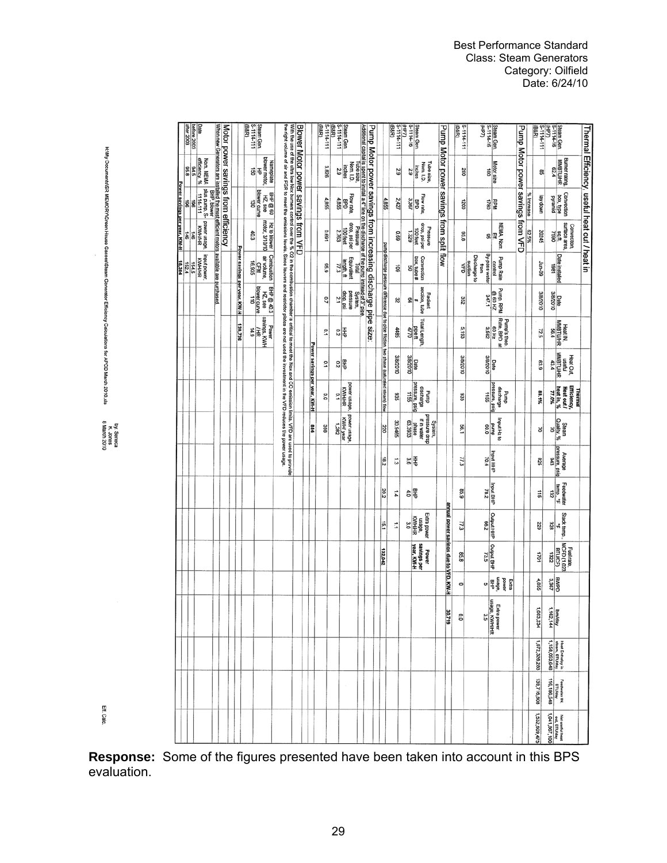|                              | before 2003<br>after 2003     | Date                                                                    |             |                                                                                     |                                     |                              | S-1114-111<br>(B&R) | Steam Gen.                       |                                |                                                                                                                                                                  |                                                                                                                                                                       |                                     |                              | 5-1114-111<br>(B&R) | (B&R) | Steam Gen<br>S-1114-111          |                            |                                                                                                                                                                                                        |                                                              |                                                                                           | 5-1114-111<br>(B&R) | (HP7) | Steam Gen.<br>S-1114-16                        |                            |                           |                                          |                                       | 5-1114-111<br>(B&R) |              | (46H) | Steam Gen.<br>S-1114-16 |                                                   |                                   |            | (B&R)           | (HP7)<br>S-1114-111                                  | Steam Gen.<br>S-1114-16                                   |                                      |                                               |
|------------------------------|-------------------------------|-------------------------------------------------------------------------|-------------|-------------------------------------------------------------------------------------|-------------------------------------|------------------------------|---------------------|----------------------------------|--------------------------------|------------------------------------------------------------------------------------------------------------------------------------------------------------------|-----------------------------------------------------------------------------------------------------------------------------------------------------------------------|-------------------------------------|------------------------------|---------------------|-------|----------------------------------|----------------------------|--------------------------------------------------------------------------------------------------------------------------------------------------------------------------------------------------------|--------------------------------------------------------------|-------------------------------------------------------------------------------------------|---------------------|-------|------------------------------------------------|----------------------------|---------------------------|------------------------------------------|---------------------------------------|---------------------|--------------|-------|-------------------------|---------------------------------------------------|-----------------------------------|------------|-----------------|------------------------------------------------------|-----------------------------------------------------------|--------------------------------------|-----------------------------------------------|
|                              | efficiency, %<br>84.5<br>85.8 | Nom. NEMA                                                               |             | When new Generators are installed the most efficient motors available are purchased | Motor power savings from efficiency |                              | gļ                  | blower motor,<br>₹               | Nameplate                      | the right volume of air and FGR to meet the emissions levels. Since louvers and restrictor plates are not used the investment in the VFD reduces the power usage | With the use of the ultra low Nax burners control over the % O2 in the combustion chamber is critical to meet the Nox and CO emission limits. VFD are used to provide | Blower Motor power savings from VFD |                              | 3.826               |       | $rac{\text{inches}}{2.9}$        | Nom. 1.D.                  | Additional capital is spent to install a 4" line on the discharge of the pump instead of 3" pice<br>Additional capital is spent to install a 4" line on the discharge of the pump instead of 3" picem. | Pump Motor power savings from increasing discharge pipe size |                                                                                           | $\frac{2}{9}$       |       | $\frac{1}{29}$                                 | Tube size,<br>Nom. I.D.    |                           | Pump Motor power savings from split flow |                                       | 200                 |              |       | ខ្ញី                    | <b>Motor</b> size                                 | Pump Motor power savings from VFD |            | æ,              |                                                      |                                                           | Burner rating,<br>MMBTU/HR           | Thermal Efficiency, useful heat out / heat in |
| Power savings per year, KW-H | 8                             | $\frac{5}{1114-111}$ RWH/HR<br>$\frac{1114-111}{196}$ RWH/HR<br>196 146 | BHP, blower |                                                                                     |                                     |                              | ខ្លី                | <b>blower</b> curve<br>HZ, see   | <b>GHP @ 60</b>                |                                                                                                                                                                  |                                                                                                                                                                       |                                     |                              | 4,855               |       |                                  | Flow rate,<br>BPD<br>4,855 |                                                                                                                                                                                                        |                                                              | 4,855                                                                                     | 2,427               |       |                                                | Flow rate,<br>BPD<br>3,367 |                           |                                          |                                       | 1200                |              |       | 0821                    | RPM                                               |                                   | % Increase | uwop Ae         |                                                      |                                                           | Convection<br>box, type<br>pyramid   |                                               |
|                              | 56                            |                                                                         |             |                                                                                     |                                     |                              | 40.3                |                                  | Hz to blower<br>motor, 3/10/10 |                                                                                                                                                                  |                                                                                                                                                                       |                                     |                              | 169'0               |       | $\frac{100 \text{ feet}}{2.763}$ | drop, psi per              |                                                                                                                                                                                                        |                                                              |                                                                                           | 690                 |       | 1329                                           | drop, psi per<br>100 feet  | Pressure                  |                                          |                                       | 95.8                |              |       |                         | NEMA, Nom.<br>$\frac{\mathsf{Eff}}{\mathsf{eff}}$ |                                   | 82.5%      | 20245           |                                                      | $rac{4}{1580}$                                            | surface area,<br>Convection,         |                                               |
| 18,384                       | 152.4<br>154.5                | input power,<br>KWH/HR                                                  |             |                                                                                     |                                     | Power savings per year. KW-H | 16,935              | Combustion<br>air volume,<br>CFM |                                |                                                                                                                                                                  |                                                                                                                                                                       |                                     |                              | 636                 |       | length, ft $\frac{17.3}{77.3}$   | Equivalent                 |                                                                                                                                                                                                        |                                                              | pump discharge pressure difference due to pipe friction, two phase (saturaled steam) flow | 5                   |       | Convection<br>$\frac{1}{50}$<br>$\frac{1}{50}$ |                            |                           |                                          |                                       | d <sub>span</sub>   | Discharge to | from  | By-pass water           | Pump Rate<br>control                              |                                   |            | 80-unr          |                                                      | Date installed                                            |                                      |                                               |
|                              |                               |                                                                         |             |                                                                                     |                                     |                              | 급                   | blower curve<br>HZ, see          | BHP @ 40.3                     |                                                                                                                                                                  |                                                                                                                                                                       |                                     |                              | $^{0.7}$            |       | $\frac{\text{drop, psi}}{2.1}$   | pressure                   |                                                                                                                                                                                                        |                                                              |                                                                                           | 32                  |       | 외백                                             | section, tube              | Radiant                   |                                          |                                       | 352                 |              |       | 347.1                   | Pump, RPM<br>@ 60 HZ                              |                                   |            | 3/8/2010        | 3/8/2010                                             | Date                                                      |                                      |                                               |
|                              |                               |                                                                         |             |                                                                                     |                                     | 130,736                      | 14.9                | savings, KWH                     | Power                          |                                                                                                                                                                  |                                                                                                                                                                       |                                     |                              | $\overline{10}$     |       | 이로                               |                            |                                                                                                                                                                                                        |                                                              |                                                                                           | 4485                |       | $\frac{\text{height}}{\text{4770}}$            | Total Length,              |                           |                                          |                                       | 5,193               |              |       | 3,582                   | Pump's theo.<br>Rate, BPD at<br>60 Hz             |                                   |            | 72.5            |                                                      | MMBTUAR<br>S6.4                                           | Heat IN.                             |                                               |
|                              |                               |                                                                         |             |                                                                                     |                                     |                              |                     |                                  |                                |                                                                                                                                                                  |                                                                                                                                                                       |                                     | Power savings per year, KW-H | 2                   |       | 잃                                |                            |                                                                                                                                                                                                        |                                                              |                                                                                           | OLOZARIC            |       | 3/8/2010<br>Date                               |                            |                           |                                          |                                       | 3/8/2010            |              |       | 3/8/2010                | Date                                              |                                   |            | 63.9            | 43.4                                                 | <b>MMBTU/HR</b>                                           | Heat Out,<br>maetul                  |                                               |
|                              |                               |                                                                         |             |                                                                                     |                                     |                              |                     |                                  |                                |                                                                                                                                                                  |                                                                                                                                                                       |                                     |                              | O.O                 |       | P.1                              | power usage,<br>KWH/HR     |                                                                                                                                                                                                        |                                                              |                                                                                           | 835                 |       | discharge<br>pressure, psig<br>1155            |                            | dund                      |                                          |                                       | 935                 |              |       | pressure, psig<br>1155  | discharge<br>dund                                 |                                   |            | 88.1%           | 77.0%                                                | heat in, %                                                | Efficiency,<br>Heat out /<br>Thermal |                                               |
|                              |                               |                                                                         |             |                                                                                     |                                     |                              |                     |                                  |                                |                                                                                                                                                                  |                                                                                                                                                                       |                                     | 984                          | 398                 |       | 2821                             | power usage,<br>KWH/ year  |                                                                                                                                                                                                        |                                                              | 220                                                                                       | 30.9465             |       | 63,3933<br>phase                               | if in water                | doup eurossaud<br>System, |                                          |                                       | 56.1                |              |       | duund<br>60.0           | input Hz to                                       |                                   |            | 의               |                                                      | Quality, %                                                | Steam                                |                                               |
|                              |                               |                                                                         |             |                                                                                     |                                     |                              |                     |                                  |                                |                                                                                                                                                                  |                                                                                                                                                                       |                                     |                              |                     |       |                                  |                            |                                                                                                                                                                                                        |                                                              | $\frac{182}{2}$                                                                           | 5                   |       | % 돛                                            |                            |                           |                                          |                                       | 77.3                |              |       | $\frac{1}{70.4}$        |                                                   |                                   |            | 828             | Ë                                                    | pressure, psig                                            | Average                              |                                               |
|                              |                               |                                                                         |             |                                                                                     |                                     |                              |                     |                                  |                                |                                                                                                                                                                  |                                                                                                                                                                       |                                     |                              |                     |       |                                  |                            |                                                                                                                                                                                                        |                                                              | 202                                                                                       | r,                  |       | 히로                                             |                            |                           |                                          |                                       | 85.9                |              |       | <b>Input BHP</b>        |                                                   |                                   |            | $\frac{11}{10}$ |                                                      |                                                           | Feedwater<br>temp., "F<br>132        |                                               |
|                              |                               |                                                                         |             |                                                                                     |                                     |                              |                     |                                  |                                |                                                                                                                                                                  |                                                                                                                                                                       |                                     |                              |                     |       |                                  |                            |                                                                                                                                                                                                        |                                                              | $\frac{15.1}{2}$                                                                          | Ë,                  |       | usage,<br>KWH/HR                               |                            | Extra power               |                                          | annual power savings due to VFD. KW-H | 77.3                |              |       | Output HHP              |                                                   |                                   |            | 229             |                                                      | ᇥ                                                         | Stack temp.,                         |                                               |
|                              |                               |                                                                         |             |                                                                                     |                                     |                              |                     |                                  |                                |                                                                                                                                                                  |                                                                                                                                                                       |                                     |                              |                     |       |                                  |                            |                                                                                                                                                                                                        |                                                              | 132,042                                                                                   |                     |       |                                                | savings per<br>year, KW-H  | Power                     |                                          |                                       | 85.8                |              |       | Output BHP              |                                                   |                                   |            | 1701            | 1322                                                 | <b>BTU/CF)</b>                                            | Fuel rate,<br>MCFD (1,023            |                                               |
|                              |                               |                                                                         |             |                                                                                     |                                     |                              |                     |                                  |                                |                                                                                                                                                                  |                                                                                                                                                                       |                                     |                              |                     |       |                                  |                            |                                                                                                                                                                                                        |                                                              |                                                                                           |                     |       |                                                |                            |                           |                                          |                                       | $\circ$             |              |       |                         | $rac{1}{8+6}$<br>power<br>Extra                   |                                   |            | 4,855           | 3,367                                                | <b>QdM8</b>                                               |                                      |                                               |
|                              |                               |                                                                         |             |                                                                                     |                                     |                              |                     |                                  |                                |                                                                                                                                                                  |                                                                                                                                                                       |                                     |                              |                     |       |                                  |                            |                                                                                                                                                                                                        |                                                              |                                                                                           |                     |       |                                                |                            |                           |                                          | 30,719                                | O.O                 |              |       | Besn                    | Extra power<br>usage, KWH/HR<br>3.5               |                                   |            | 1,683,234       |                                                      | <b>Ibm/day</b><br>1,162,144                               |                                      |                                               |
|                              |                               |                                                                         |             |                                                                                     |                                     |                              |                     |                                  |                                |                                                                                                                                                                  |                                                                                                                                                                       |                                     |                              |                     |       |                                  |                            |                                                                                                                                                                                                        |                                                              |                                                                                           |                     |       |                                                |                            |                           |                                          |                                       |                     |              |       |                         |                                                   |                                   |            | 1,672,326,283   |                                                      | <b>Heat Enthalpy in</b><br>steam, BTUday<br>1,158,053,648 |                                      |                                               |
|                              |                               |                                                                         |             |                                                                                     |                                     |                              |                     |                                  |                                |                                                                                                                                                                  |                                                                                                                                                                       |                                     |                              |                     |       |                                  | $\cdot$                    |                                                                                                                                                                                                        |                                                              |                                                                                           |                     |       |                                                |                            |                           |                                          |                                       |                     |              |       |                         |                                                   |                                   |            | 139,716,808     | Feedwater IN.<br>BTUKay<br>116,186,548               |                                                           |                                      |                                               |
|                              |                               |                                                                         |             |                                                                                     |                                     |                              |                     |                                  |                                |                                                                                                                                                                  |                                                                                                                                                                       |                                     |                              |                     |       |                                  |                            |                                                                                                                                                                                                        |                                                              |                                                                                           |                     |       |                                                |                            |                           |                                          |                                       |                     |              |       |                         |                                                   |                                   |            | 1,532,609,475   | Net useful heat<br>  out, BTUIday<br>  1,041,867,100 |                                                           |                                      |                                               |

**Response:** Some of the figures presented have been taken into account in this BPS evaluation.

H:Wy Documents/SR MEMORY/Green House Gasses/Steam Generator Efficiency Calculations for APCD March 2010.xls

by: Seneca<br>K. Jones<br>8 March 2010

Eff. Calc.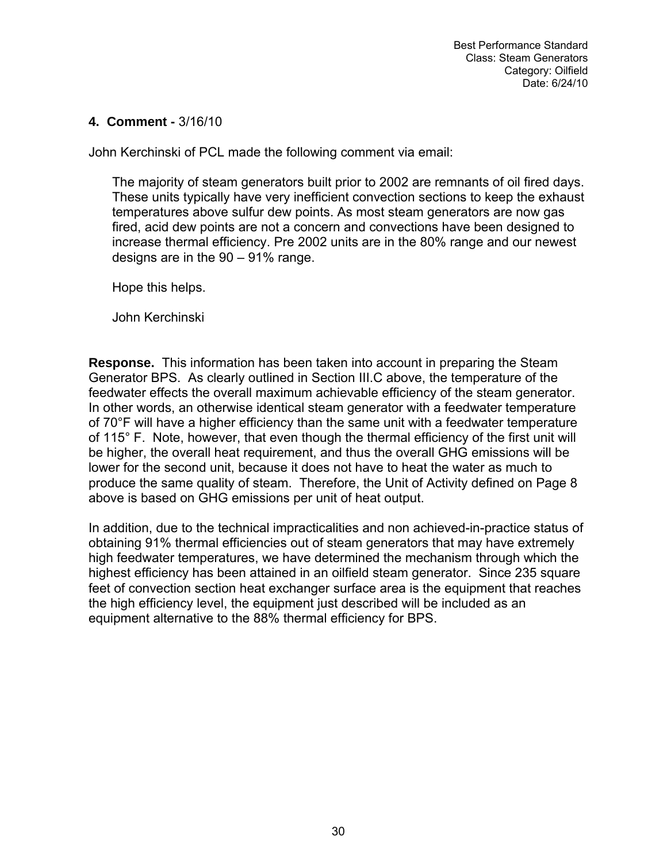#### **4. Comment -** 3/16/10

John Kerchinski of PCL made the following comment via email:

The majority of steam generators built prior to 2002 are remnants of oil fired days. These units typically have very inefficient convection sections to keep the exhaust temperatures above sulfur dew points. As most steam generators are now gas fired, acid dew points are not a concern and convections have been designed to increase thermal efficiency. Pre 2002 units are in the 80% range and our newest designs are in the 90 – 91% range.

Hope this helps.

John Kerchinski

**Response.** This information has been taken into account in preparing the Steam Generator BPS. As clearly outlined in Section III.C above, the temperature of the feedwater effects the overall maximum achievable efficiency of the steam generator. In other words, an otherwise identical steam generator with a feedwater temperature of 70°F will have a higher efficiency than the same unit with a feedwater temperature of 115° F. Note, however, that even though the thermal efficiency of the first unit will be higher, the overall heat requirement, and thus the overall GHG emissions will be lower for the second unit, because it does not have to heat the water as much to produce the same quality of steam. Therefore, the Unit of Activity defined on Page 8 above is based on GHG emissions per unit of heat output.

In addition, due to the technical impracticalities and non achieved-in-practice status of obtaining 91% thermal efficiencies out of steam generators that may have extremely high feedwater temperatures, we have determined the mechanism through which the highest efficiency has been attained in an oilfield steam generator. Since 235 square feet of convection section heat exchanger surface area is the equipment that reaches the high efficiency level, the equipment just described will be included as an equipment alternative to the 88% thermal efficiency for BPS.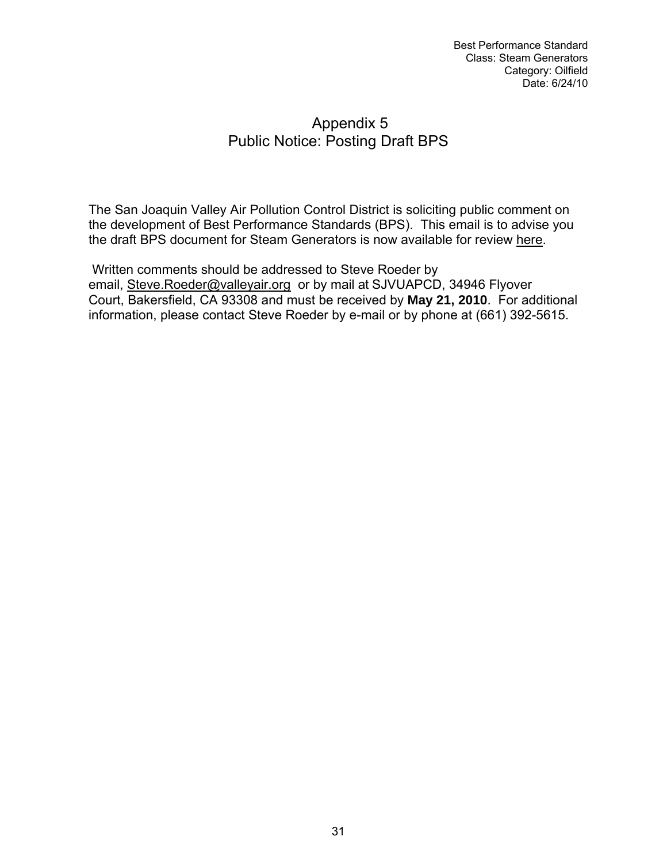# Appendix 5 Public Notice: Posting Draft BPS

The San Joaquin Valley Air Pollution Control District is soliciting public comment on the development of Best Performance Standards (BPS). This email is to advise you the draft BPS document for Steam Generators is now available for review [here](http://www.valleyair.org/Programs/CCAP/bps/Draft_SteamGeneratorsBPS.pdf).

 Written comments should be addressed to Steve Roeder by email, [Steve.Roeder@valleyair.org](mailto:Steve.Roeder@valleyair.org) or by mail at SJVUAPCD, 34946 Flyover Court, Bakersfield, CA 93308 and must be received by **May 21, 2010**. For additional information, please contact Steve Roeder by e-mail or by phone at (661) 392-5615.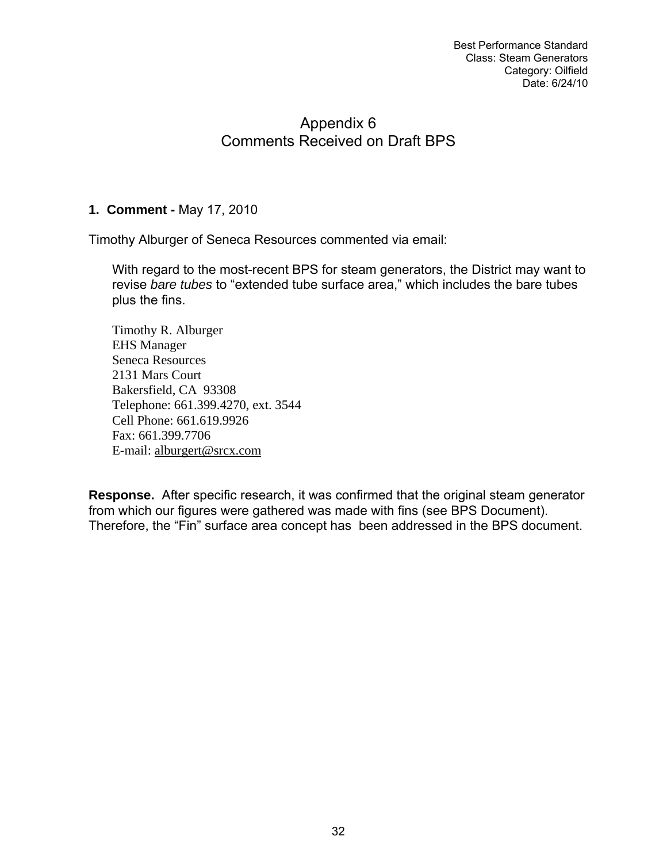# Appendix 6 Comments Received on Draft BPS

# **1. Comment -** May 17, 2010

Timothy Alburger of Seneca Resources commented via email:

With regard to the most-recent BPS for steam generators, the District may want to revise *bare tubes* to "extended tube surface area," which includes the bare tubes plus the fins.

Timothy R. Alburger EHS Manager Seneca Resources 2131 Mars Court Bakersfield, CA 93308 Telephone: 661.399.4270, ext. 3544 Cell Phone: 661.619.9926 Fax: 661.399.7706 E-mail: [alburgert@srcx.com](mailto:alburgert@srcx.com)

**Response.** After specific research, it was confirmed that the original steam generator from which our figures were gathered was made with fins (see BPS Document). Therefore, the "Fin" surface area concept has been addressed in the BPS document.